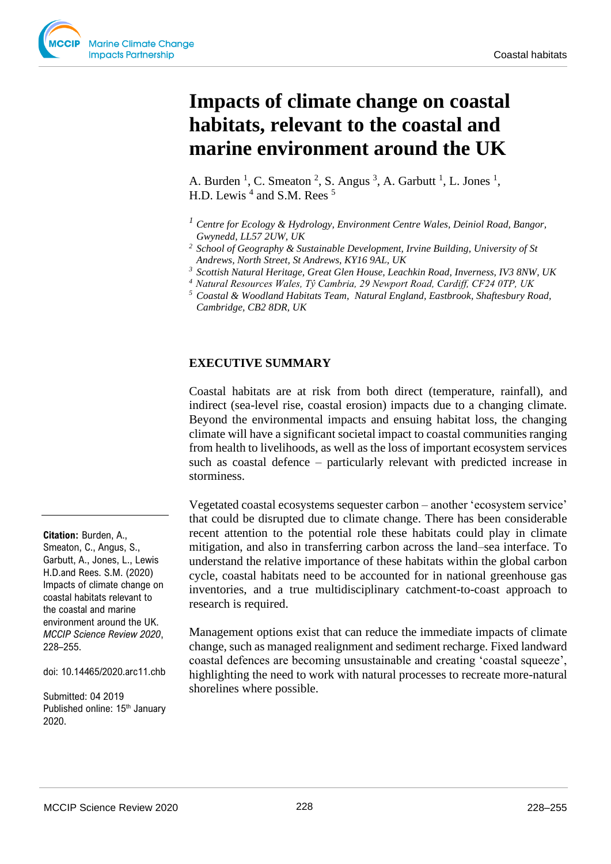# **Impacts of climate change on coastal habitats, relevant to the coastal and marine environment around the UK**

A. Burden<sup>1</sup>, C. Smeaton<sup>2</sup>, S. Angus<sup>3</sup>, A. Garbutt<sup>1</sup>, L. Jones<sup>1</sup>, H.D. Lewis<sup>4</sup> and S.M. Rees<sup>5</sup>

*<sup>1</sup> Centre for Ecology & Hydrology, Environment Centre Wales, Deiniol Road, Bangor, Gwynedd, LL57 2UW, UK*

*<sup>3</sup> Scottish Natural Heritage, Great Glen House, Leachkin Road, Inverness, IV3 8NW, UK*

## **EXECUTIVE SUMMARY**

Coastal habitats are at risk from both direct (temperature, rainfall), and indirect (sea-level rise, coastal erosion) impacts due to a changing climate. Beyond the environmental impacts and ensuing habitat loss, the changing climate will have a significant societal impact to coastal communities ranging from health to livelihoods, as well as the loss of important ecosystem services such as coastal defence – particularly relevant with predicted increase in storminess.

Vegetated coastal ecosystems sequester carbon – another 'ecosystem service' that could be disrupted due to climate change. There has been considerable recent attention to the potential role these habitats could play in climate mitigation, and also in transferring carbon across the land–sea interface. To understand the relative importance of these habitats within the global carbon cycle, coastal habitats need to be accounted for in national greenhouse gas inventories, and a true multidisciplinary catchment-to-coast approach to research is required.

Management options exist that can reduce the immediate impacts of climate change, such as managed realignment and sediment recharge. Fixed landward coastal defences are becoming unsustainable and creating 'coastal squeeze', highlighting the need to work with natural processes to recreate more-natural shorelines where possible.

**Citation:** Burden, A., Smeaton, C., Angus, S., Garbutt, A., Jones, L., Lewis H.D.and Rees. S.M. (2020) Impacts of climate change on coastal habitats relevant to the coastal and marine environment around the UK. *MCCIP Science Review 2020*, 228–255.

doi: 10.14465/2020.arc11.chb

Submitted: 04 2019 Published online: 15<sup>th</sup> January 2020.

*<sup>2</sup> School of Geography & Sustainable Development, Irvine Building, University of St Andrews, North Street, St Andrews, KY16 9AL, UK*

*<sup>4</sup>Natural Resources Wales, Tŷ Cambria, 29 Newport Road, Cardiff, CF24 0TP, UK*

*<sup>5</sup> Coastal & Woodland Habitats Team, Natural England, Eastbrook, Shaftesbury Road, Cambridge, CB2 8DR, UK*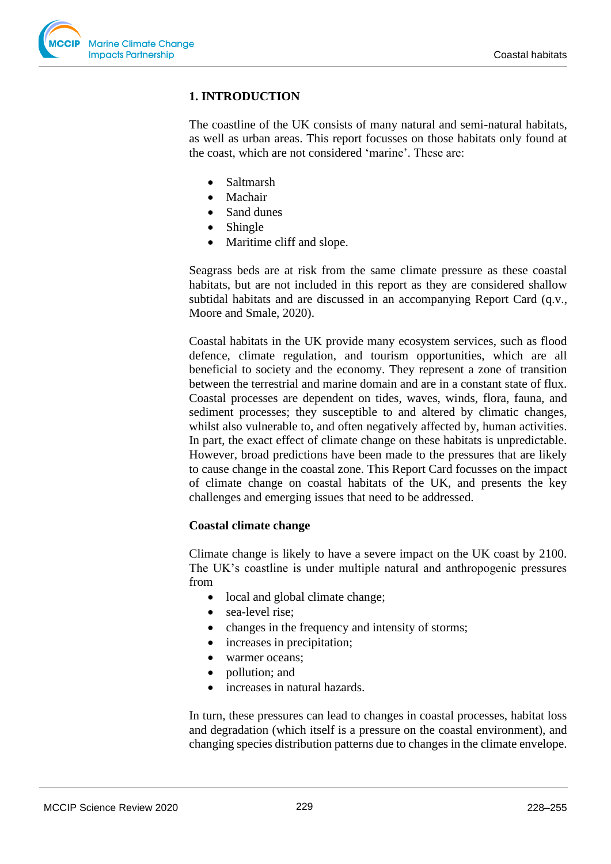

# **1. INTRODUCTION**

The coastline of the UK consists of many natural and semi-natural habitats, as well as urban areas. This report focusses on those habitats only found at the coast, which are not considered 'marine'. These are:

- Saltmarsh
- Machair
- Sand dunes
- Shingle
- Maritime cliff and slope.

Seagrass beds are at risk from the same climate pressure as these coastal habitats, but are not included in this report as they are considered shallow subtidal habitats and are discussed in an accompanying Report Card (q.v., Moore and Smale, 2020).

Coastal habitats in the UK provide many ecosystem services, such as flood defence, climate regulation, and tourism opportunities, which are all beneficial to society and the economy. They represent a zone of transition between the terrestrial and marine domain and are in a constant state of flux. Coastal processes are dependent on tides, waves, winds, flora, fauna, and sediment processes; they susceptible to and altered by climatic changes, whilst also vulnerable to, and often negatively affected by, human activities. In part, the exact effect of climate change on these habitats is unpredictable. However, broad predictions have been made to the pressures that are likely to cause change in the coastal zone. This Report Card focusses on the impact of climate change on coastal habitats of the UK, and presents the key challenges and emerging issues that need to be addressed.

#### **Coastal climate change**

Climate change is likely to have a severe impact on the UK coast by 2100. The UK's coastline is under multiple natural and anthropogenic pressures from

- local and global climate change;
- sea-level rise;
- changes in the frequency and intensity of storms;
- increases in precipitation;
- warmer oceans;
- pollution; and
- increases in natural hazards.

In turn, these pressures can lead to changes in coastal processes, habitat loss and degradation (which itself is a pressure on the coastal environment), and changing species distribution patterns due to changes in the climate envelope.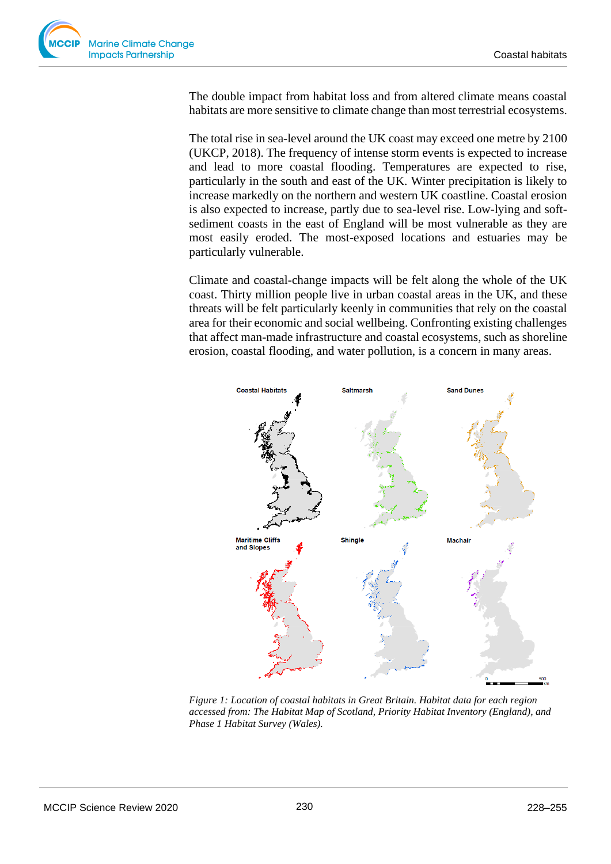

The double impact from habitat loss and from altered climate means coastal habitats are more sensitive to climate change than most terrestrial ecosystems.

The total rise in sea-level around the UK coast may exceed one metre by 2100 (UKCP, 2018). The frequency of intense storm events is expected to increase and lead to more coastal flooding. Temperatures are expected to rise, particularly in the south and east of the UK. Winter precipitation is likely to increase markedly on the northern and western UK coastline. Coastal erosion is also expected to increase, partly due to sea-level rise. Low-lying and softsediment coasts in the east of England will be most vulnerable as they are most easily eroded. The most-exposed locations and estuaries may be particularly vulnerable.

Climate and coastal-change impacts will be felt along the whole of the UK coast. Thirty million people live in urban coastal areas in the UK, and these threats will be felt particularly keenly in communities that rely on the coastal area for their economic and social wellbeing. Confronting existing challenges that affect man-made infrastructure and coastal ecosystems, such as shoreline erosion, coastal flooding, and water pollution, is a concern in many areas.



*Figure 1: Location of coastal habitats in Great Britain. Habitat data for each region accessed from: The Habitat Map of Scotland, Priority Habitat Inventory (England), and Phase 1 Habitat Survey (Wales).*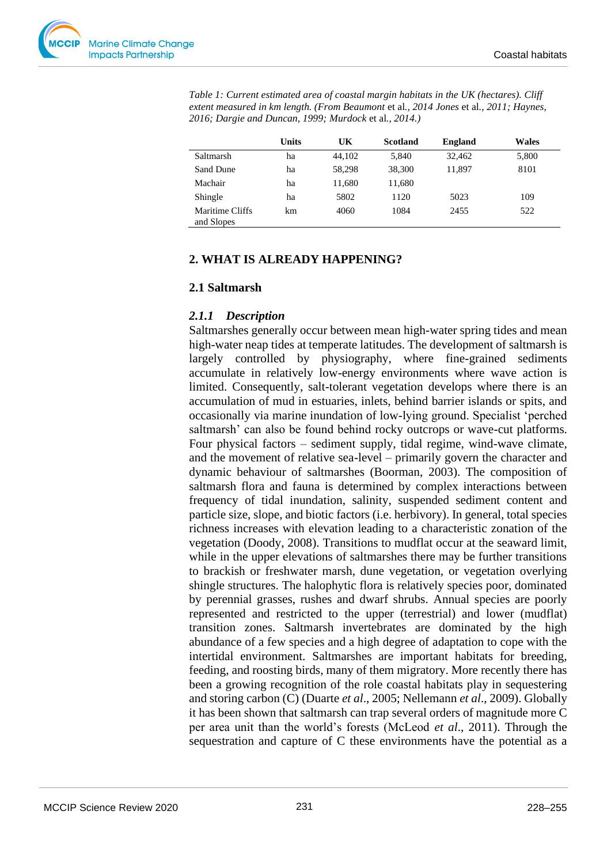|                               | <b>Units</b> | UK     | <b>Scotland</b> | <b>England</b> | <b>Wales</b> |
|-------------------------------|--------------|--------|-----------------|----------------|--------------|
| Saltmarsh                     | ha           | 44.102 | 5,840           | 32,462         | 5,800        |
| Sand Dune                     | ha           | 58.298 | 38,300          | 11,897         | 8101         |
| Machair                       | ha           | 11,680 | 11,680          |                |              |
| Shingle                       | ha           | 5802   | 1120            | 5023           | 109          |
| Maritime Cliffs<br>and Slopes | km           | 4060   | 1084            | 2455           | 522          |

*Table 1: Current estimated area of coastal margin habitats in the UK (hectares). Cliff extent measured in km length. (From Beaumont* et al*., 2014 Jones* et al*., 2011; Haynes, 2016; Dargie and Duncan, 1999; Murdock* et al*., 2014.)*

# **2. WHAT IS ALREADY HAPPENING?**

#### **2.1 Saltmarsh**

#### *2.1.1 Description*

Saltmarshes generally occur between mean high-water spring tides and mean high-water neap tides at temperate latitudes. The development of saltmarsh is largely controlled by physiography, where fine-grained sediments accumulate in relatively low-energy environments where wave action is limited. Consequently, salt-tolerant vegetation develops where there is an accumulation of mud in estuaries, inlets, behind barrier islands or spits, and occasionally via marine inundation of low-lying ground. Specialist 'perched saltmarsh' can also be found behind rocky outcrops or wave-cut platforms. Four physical factors – sediment supply, tidal regime, wind-wave climate, and the movement of relative sea-level – primarily govern the character and dynamic behaviour of saltmarshes (Boorman, 2003). The composition of saltmarsh flora and fauna is determined by complex interactions between frequency of tidal inundation, salinity, suspended sediment content and particle size, slope, and biotic factors (i.e. herbivory). In general, total species richness increases with elevation leading to a characteristic zonation of the vegetation (Doody, 2008). Transitions to mudflat occur at the seaward limit, while in the upper elevations of saltmarshes there may be further transitions to brackish or freshwater marsh, dune vegetation, or vegetation overlying shingle structures. The halophytic flora is relatively species poor, dominated by perennial grasses, rushes and dwarf shrubs. Annual species are poorly represented and restricted to the upper (terrestrial) and lower (mudflat) transition zones. Saltmarsh invertebrates are dominated by the high abundance of a few species and a high degree of adaptation to cope with the intertidal environment. Saltmarshes are important habitats for breeding, feeding, and roosting birds, many of them migratory. More recently there has been a growing recognition of the role coastal habitats play in sequestering and storing carbon (C) (Duarte *et al*., 2005; Nellemann *et al*., 2009). Globally it has been shown that saltmarsh can trap several orders of magnitude more C per area unit than the world's forests (McLeod *et al*., 2011). Through the sequestration and capture of C these environments have the potential as a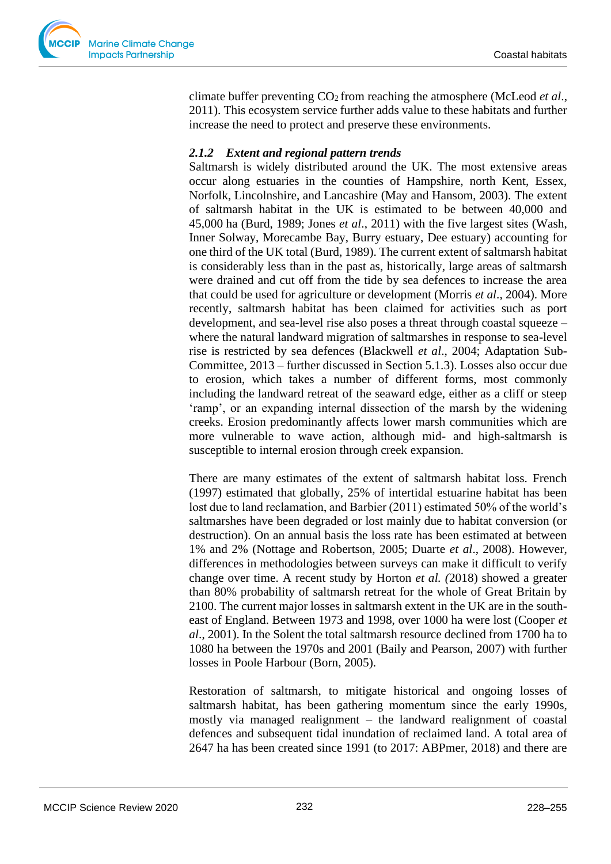

climate buffer preventing CO2 from reaching the atmosphere (McLeod *et al*., 2011). This ecosystem service further adds value to these habitats and further increase the need to protect and preserve these environments.

## *2.1.2 Extent and regional pattern trends*

Saltmarsh is widely distributed around the UK. The most extensive areas occur along estuaries in the counties of Hampshire, north Kent, Essex, Norfolk, Lincolnshire, and Lancashire (May and Hansom, 2003). The extent of saltmarsh habitat in the UK is estimated to be between 40,000 and 45,000 ha (Burd, 1989; Jones *et al*., 2011) with the five largest sites (Wash, Inner Solway, Morecambe Bay, Burry estuary, Dee estuary) accounting for one third of the UK total (Burd, 1989). The current extent of saltmarsh habitat is considerably less than in the past as, historically, large areas of saltmarsh were drained and cut off from the tide by sea defences to increase the area that could be used for agriculture or development (Morris *et al*., 2004). More recently, saltmarsh habitat has been claimed for activities such as port development, and sea-level rise also poses a threat through coastal squeeze – where the natural landward migration of saltmarshes in response to sea-level rise is restricted by sea defences (Blackwell *et al*., 2004; Adaptation Sub-Committee, 2013 – further discussed in Section 5.1.3). Losses also occur due to erosion, which takes a number of different forms, most commonly including the landward retreat of the seaward edge, either as a cliff or steep 'ramp', or an expanding internal dissection of the marsh by the widening creeks. Erosion predominantly affects lower marsh communities which are more vulnerable to wave action, although mid- and high-saltmarsh is susceptible to internal erosion through creek expansion.

There are many estimates of the extent of saltmarsh habitat loss. French (1997) estimated that globally, 25% of intertidal estuarine habitat has been lost due to land reclamation, and Barbier (2011) estimated 50% of the world's saltmarshes have been degraded or lost mainly due to habitat conversion (or destruction). On an annual basis the loss rate has been estimated at between 1% and 2% (Nottage and Robertson, 2005; Duarte *et al*., 2008). However, differences in methodologies between surveys can make it difficult to verify change over time. A recent study by Horton *et al. (*2018) showed a greater than 80% probability of saltmarsh retreat for the whole of Great Britain by 2100. The current major losses in saltmarsh extent in the UK are in the southeast of England. Between 1973 and 1998, over 1000 ha were lost (Cooper *et al*., 2001). In the Solent the total saltmarsh resource declined from 1700 ha to 1080 ha between the 1970s and 2001 (Baily and Pearson, 2007) with further losses in Poole Harbour (Born, 2005).

Restoration of saltmarsh, to mitigate historical and ongoing losses of saltmarsh habitat, has been gathering momentum since the early 1990s, mostly via managed realignment – the landward realignment of coastal defences and subsequent tidal inundation of reclaimed land. A total area of 2647 ha has been created since 1991 (to 2017: ABPmer, 2018) and there are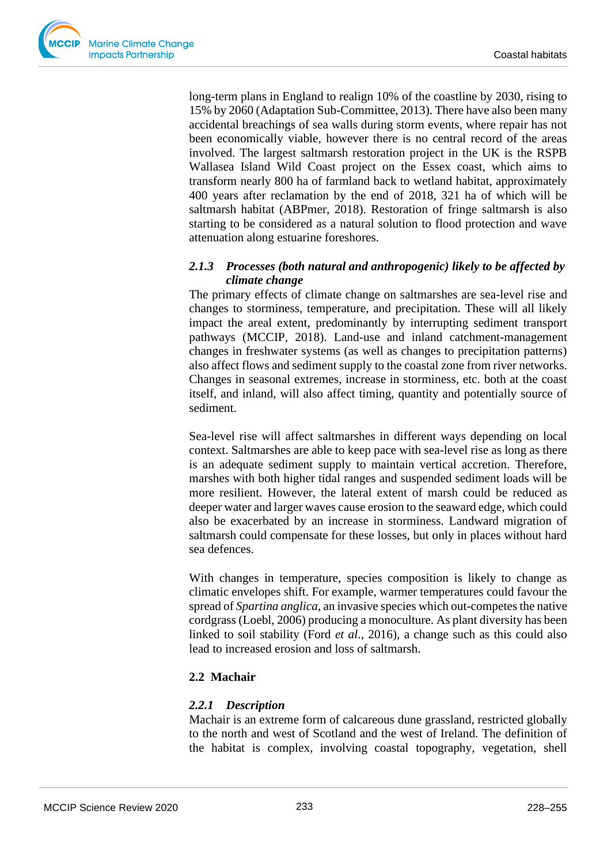

long-term plans in England to realign 10% of the coastline by 2030, rising to 15% by 2060 (Adaptation Sub-Committee, 2013). There have also been many accidental breachings of sea walls during storm events, where repair has not been economically viable, however there is no central record of the areas involved. The largest saltmarsh restoration project in the UK is the RSPB Wallasea Island Wild Coast project on the Essex coast, which aims to transform nearly 800 ha of farmland back to wetland habitat, approximately 400 years after reclamation by the end of 2018, 321 ha of which will be saltmarsh habitat (ABPmer, 2018). Restoration of fringe saltmarsh is also starting to be considered as a natural solution to flood protection and wave attenuation along estuarine foreshores.

# *2.1.3 Processes (both natural and anthropogenic) likely to be affected by climate change*

The primary effects of climate change on saltmarshes are sea-level rise and changes to storminess, temperature, and precipitation. These will all likely impact the areal extent, predominantly by interrupting sediment transport pathways (MCCIP, 2018). Land-use and inland catchment-management changes in freshwater systems (as well as changes to precipitation patterns) also affect flows and sediment supply to the coastal zone from river networks. Changes in seasonal extremes, increase in storminess, etc. both at the coast itself, and inland, will also affect timing, quantity and potentially source of sediment.

Sea-level rise will affect saltmarshes in different ways depending on local context. Saltmarshes are able to keep pace with sea-level rise as long as there is an adequate sediment supply to maintain vertical accretion. Therefore, marshes with both higher tidal ranges and suspended sediment loads will be more resilient. However, the lateral extent of marsh could be reduced as deeper water and larger waves cause erosion to the seaward edge, which could also be exacerbated by an increase in storminess. Landward migration of saltmarsh could compensate for these losses, but only in places without hard sea defences.

With changes in temperature, species composition is likely to change as climatic envelopes shift. For example, warmer temperatures could favour the spread of *Spartina anglica*, an invasive species which out-competes the native cordgrass (Loebl, 2006) producing a monoculture. As plant diversity has been linked to soil stability (Ford *et al*., 2016), a change such as this could also lead to increased erosion and loss of saltmarsh.

# **2.2 Machair**

## *2.2.1 Description*

Machair is an extreme form of calcareous dune grassland, restricted globally to the north and west of Scotland and the west of Ireland. The definition of the habitat is complex, involving coastal topography, vegetation, shell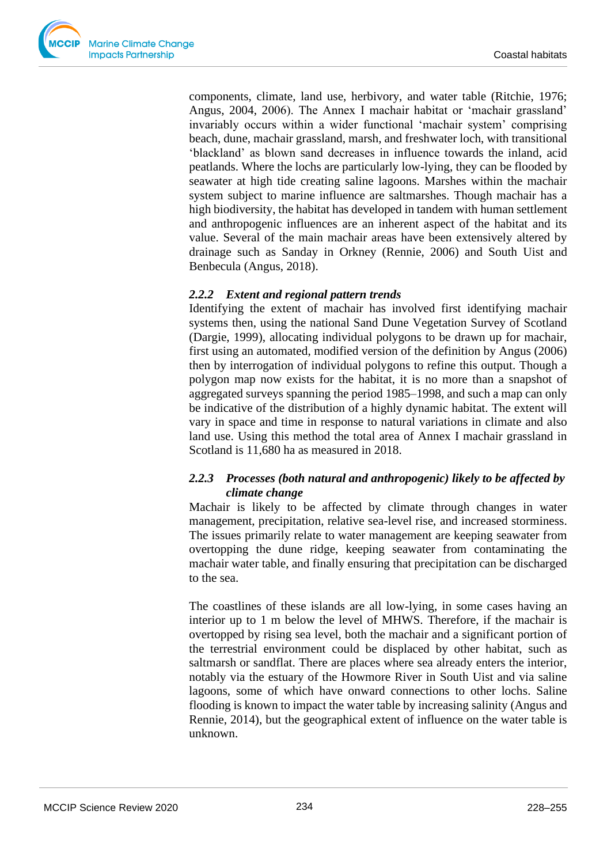

components, climate, land use, herbivory, and water table (Ritchie, 1976; Angus, 2004, 2006). The Annex I machair habitat or 'machair grassland' invariably occurs within a wider functional 'machair system' comprising beach, dune, machair grassland, marsh, and freshwater loch, with transitional 'blackland' as blown sand decreases in influence towards the inland, acid peatlands. Where the lochs are particularly low-lying, they can be flooded by seawater at high tide creating saline lagoons. Marshes within the machair system subject to marine influence are saltmarshes. Though machair has a high biodiversity, the habitat has developed in tandem with human settlement and anthropogenic influences are an inherent aspect of the habitat and its value. Several of the main machair areas have been extensively altered by drainage such as Sanday in Orkney (Rennie, 2006) and South Uist and Benbecula (Angus, 2018).

#### *2.2.2 Extent and regional pattern trends*

Identifying the extent of machair has involved first identifying machair systems then, using the national Sand Dune Vegetation Survey of Scotland (Dargie, 1999), allocating individual polygons to be drawn up for machair, first using an automated, modified version of the definition by Angus (2006) then by interrogation of individual polygons to refine this output. Though a polygon map now exists for the habitat, it is no more than a snapshot of aggregated surveys spanning the period 1985–1998, and such a map can only be indicative of the distribution of a highly dynamic habitat. The extent will vary in space and time in response to natural variations in climate and also land use. Using this method the total area of Annex I machair grassland in Scotland is 11,680 ha as measured in 2018.

## *2.2.3 Processes (both natural and anthropogenic) likely to be affected by climate change*

Machair is likely to be affected by climate through changes in water management, precipitation, relative sea-level rise, and increased storminess. The issues primarily relate to water management are keeping seawater from overtopping the dune ridge, keeping seawater from contaminating the machair water table, and finally ensuring that precipitation can be discharged to the sea.

The coastlines of these islands are all low-lying, in some cases having an interior up to 1 m below the level of MHWS. Therefore, if the machair is overtopped by rising sea level, both the machair and a significant portion of the terrestrial environment could be displaced by other habitat, such as saltmarsh or sandflat. There are places where sea already enters the interior, notably via the estuary of the Howmore River in South Uist and via saline lagoons, some of which have onward connections to other lochs. Saline flooding is known to impact the water table by increasing salinity (Angus and Rennie, 2014), but the geographical extent of influence on the water table is unknown.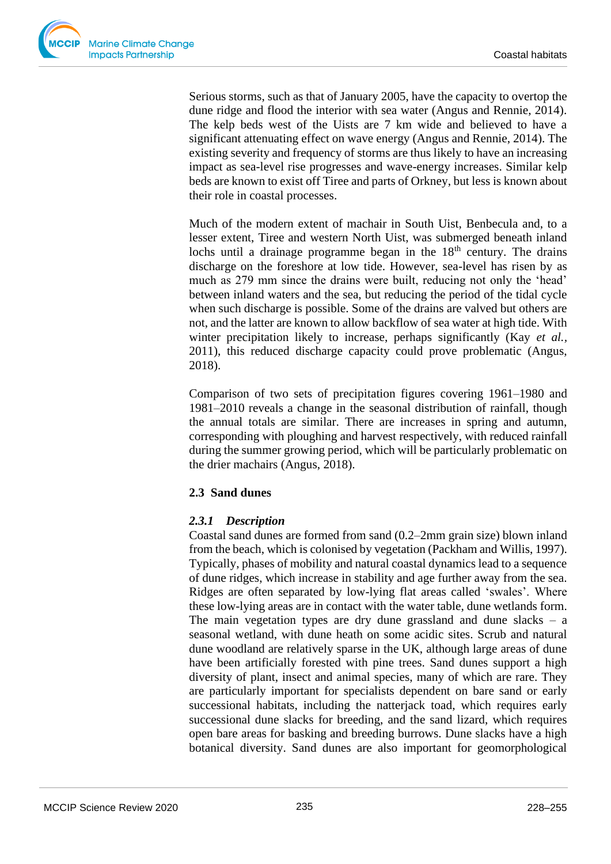Serious storms, such as that of January 2005, have the capacity to overtop the dune ridge and flood the interior with sea water (Angus and Rennie, 2014). The kelp beds west of the Uists are 7 km wide and believed to have a significant attenuating effect on wave energy (Angus and Rennie, 2014). The existing severity and frequency of storms are thus likely to have an increasing impact as sea-level rise progresses and wave-energy increases. Similar kelp beds are known to exist off Tiree and parts of Orkney, but less is known about their role in coastal processes.

Much of the modern extent of machair in South Uist, Benbecula and, to a lesser extent, Tiree and western North Uist, was submerged beneath inland lochs until a drainage programme began in the  $18<sup>th</sup>$  century. The drains discharge on the foreshore at low tide. However, sea-level has risen by as much as 279 mm since the drains were built, reducing not only the 'head' between inland waters and the sea, but reducing the period of the tidal cycle when such discharge is possible. Some of the drains are valved but others are not, and the latter are known to allow backflow of sea water at high tide. With winter precipitation likely to increase, perhaps significantly (Kay *et al.,*  2011), this reduced discharge capacity could prove problematic (Angus, 2018).

Comparison of two sets of precipitation figures covering 1961–1980 and 1981–2010 reveals a change in the seasonal distribution of rainfall, though the annual totals are similar. There are increases in spring and autumn, corresponding with ploughing and harvest respectively, with reduced rainfall during the summer growing period, which will be particularly problematic on the drier machairs (Angus, 2018).

# **2.3 Sand dunes**

# *2.3.1 Description*

Coastal sand dunes are formed from sand (0.2–2mm grain size) blown inland from the beach, which is colonised by vegetation (Packham and Willis, 1997). Typically, phases of mobility and natural coastal dynamics lead to a sequence of dune ridges, which increase in stability and age further away from the sea. Ridges are often separated by low-lying flat areas called 'swales'. Where these low-lying areas are in contact with the water table, dune wetlands form. The main vegetation types are dry dune grassland and dune slacks  $-$  a seasonal wetland, with dune heath on some acidic sites. Scrub and natural dune woodland are relatively sparse in the UK, although large areas of dune have been artificially forested with pine trees. Sand dunes support a high diversity of plant, insect and animal species, many of which are rare. They are particularly important for specialists dependent on bare sand or early successional habitats, including the natterjack toad, which requires early successional dune slacks for breeding, and the sand lizard, which requires open bare areas for basking and breeding burrows. Dune slacks have a high botanical diversity. Sand dunes are also important for geomorphological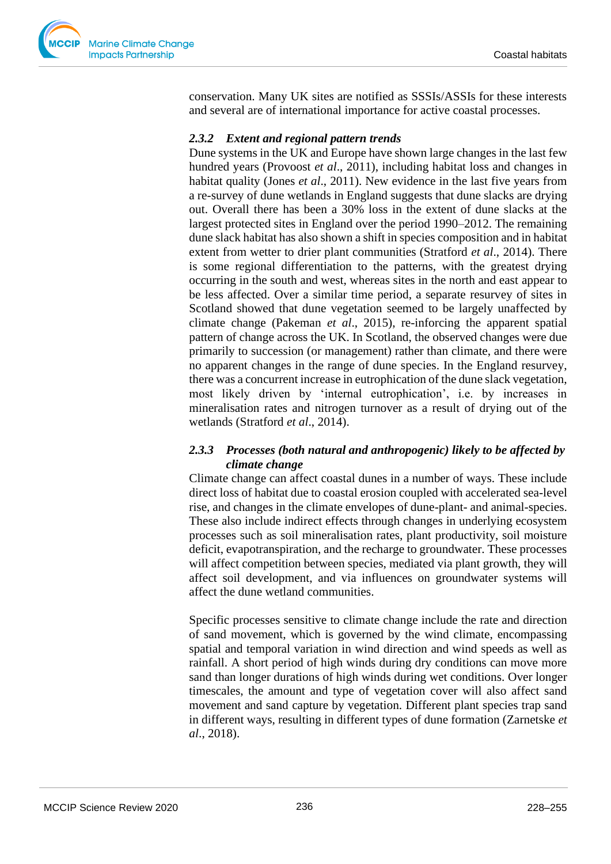

conservation. Many UK sites are notified as SSSIs/ASSIs for these interests and several are of international importance for active coastal processes.

## *2.3.2 Extent and regional pattern trends*

Dune systems in the UK and Europe have shown large changes in the last few hundred years (Provoost *et al*., 2011), including habitat loss and changes in habitat quality (Jones *et al*., 2011). New evidence in the last five years from a re-survey of dune wetlands in England suggests that dune slacks are drying out. Overall there has been a 30% loss in the extent of dune slacks at the largest protected sites in England over the period 1990–2012. The remaining dune slack habitat has also shown a shift in species composition and in habitat extent from wetter to drier plant communities (Stratford *et al*., 2014). There is some regional differentiation to the patterns, with the greatest drying occurring in the south and west, whereas sites in the north and east appear to be less affected. Over a similar time period, a separate resurvey of sites in Scotland showed that dune vegetation seemed to be largely unaffected by climate change (Pakeman *et al*., 2015), re-inforcing the apparent spatial pattern of change across the UK. In Scotland, the observed changes were due primarily to succession (or management) rather than climate, and there were no apparent changes in the range of dune species. In the England resurvey, there was a concurrent increase in eutrophication of the dune slack vegetation, most likely driven by 'internal eutrophication', i.e. by increases in mineralisation rates and nitrogen turnover as a result of drying out of the wetlands (Stratford *et al*., 2014).

## *2.3.3 Processes (both natural and anthropogenic) likely to be affected by climate change*

Climate change can affect coastal dunes in a number of ways. These include direct loss of habitat due to coastal erosion coupled with accelerated sea-level rise, and changes in the climate envelopes of dune-plant- and animal-species. These also include indirect effects through changes in underlying ecosystem processes such as soil mineralisation rates, plant productivity, soil moisture deficit, evapotranspiration, and the recharge to groundwater. These processes will affect competition between species, mediated via plant growth, they will affect soil development, and via influences on groundwater systems will affect the dune wetland communities.

Specific processes sensitive to climate change include the rate and direction of sand movement, which is governed by the wind climate, encompassing spatial and temporal variation in wind direction and wind speeds as well as rainfall. A short period of high winds during dry conditions can move more sand than longer durations of high winds during wet conditions. Over longer timescales, the amount and type of vegetation cover will also affect sand movement and sand capture by vegetation. Different plant species trap sand in different ways, resulting in different types of dune formation (Zarnetske *et al*., 2018).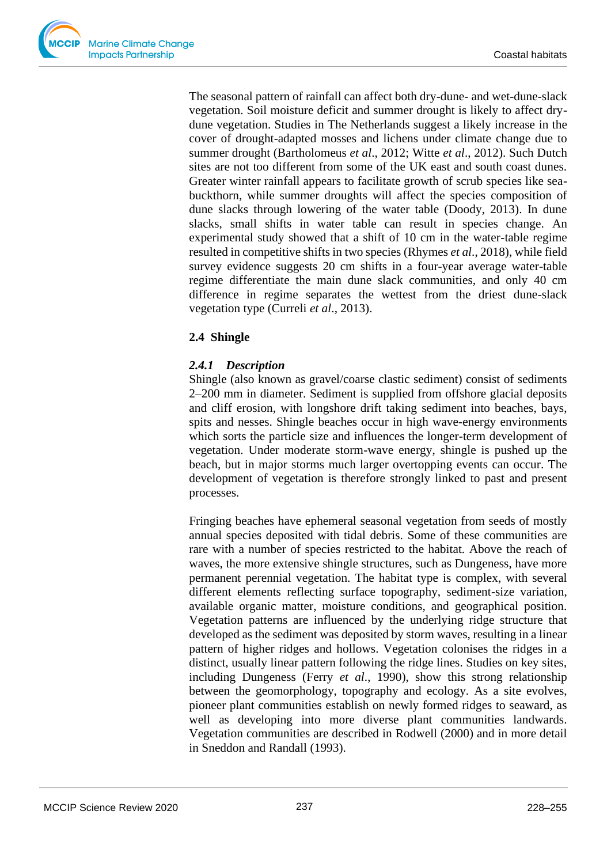The seasonal pattern of rainfall can affect both dry-dune- and wet-dune-slack vegetation. Soil moisture deficit and summer drought is likely to affect drydune vegetation. Studies in The Netherlands suggest a likely increase in the cover of drought-adapted mosses and lichens under climate change due to summer drought (Bartholomeus *et al*., 2012; Witte *et al*., 2012). Such Dutch sites are not too different from some of the UK east and south coast dunes. Greater winter rainfall appears to facilitate growth of scrub species like seabuckthorn, while summer droughts will affect the species composition of dune slacks through lowering of the water table (Doody, 2013). In dune slacks, small shifts in water table can result in species change. An experimental study showed that a shift of 10 cm in the water-table regime resulted in competitive shifts in two species (Rhymes *et al*., 2018), while field survey evidence suggests 20 cm shifts in a four-year average water-table regime differentiate the main dune slack communities, and only 40 cm difference in regime separates the wettest from the driest dune-slack vegetation type (Curreli *et al*., 2013).

# **2.4 Shingle**

# *2.4.1 Description*

Shingle (also known as gravel/coarse clastic sediment) consist of sediments 2–200 mm in diameter. Sediment is supplied from offshore glacial deposits and cliff erosion, with longshore drift taking sediment into beaches, bays, spits and nesses. Shingle beaches occur in high wave-energy environments which sorts the particle size and influences the longer-term development of vegetation. Under moderate storm-wave energy, shingle is pushed up the beach, but in major storms much larger overtopping events can occur. The development of vegetation is therefore strongly linked to past and present processes.

Fringing beaches have ephemeral seasonal vegetation from seeds of mostly annual species deposited with tidal debris. Some of these communities are rare with a number of species restricted to the habitat. Above the reach of waves, the more extensive shingle structures, such as Dungeness, have more permanent perennial vegetation. The habitat type is complex, with several different elements reflecting surface topography, sediment-size variation, available organic matter, moisture conditions, and geographical position. Vegetation patterns are influenced by the underlying ridge structure that developed as the sediment was deposited by storm waves, resulting in a linear pattern of higher ridges and hollows. Vegetation colonises the ridges in a distinct, usually linear pattern following the ridge lines. Studies on key sites, including Dungeness (Ferry *et al*., 1990), show this strong relationship between the geomorphology, topography and ecology. As a site evolves, pioneer plant communities establish on newly formed ridges to seaward, as well as developing into more diverse plant communities landwards. Vegetation communities are described in Rodwell (2000) and in more detail in Sneddon and Randall (1993).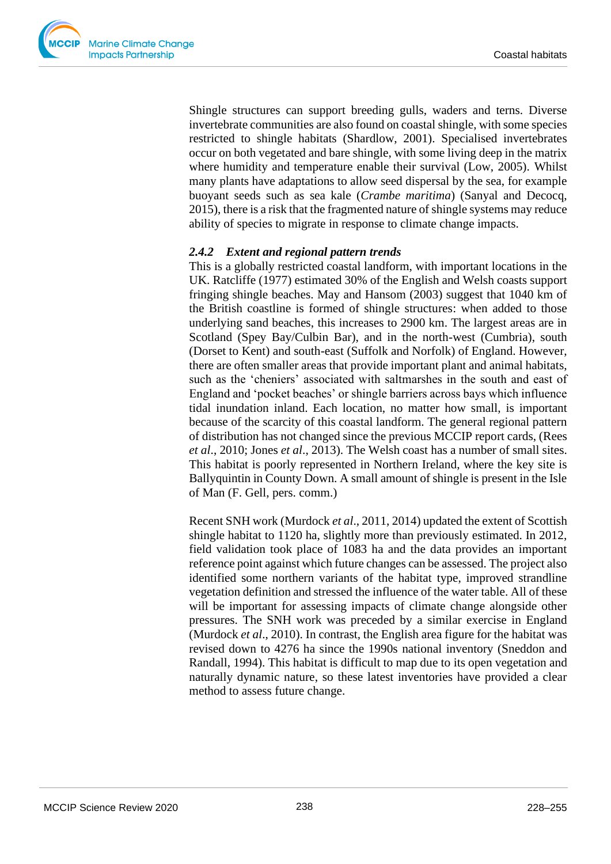

Shingle structures can support breeding gulls, waders and terns. Diverse invertebrate communities are also found on coastal shingle, with some species restricted to shingle habitats (Shardlow, 2001). Specialised invertebrates occur on both vegetated and bare shingle, with some living deep in the matrix where humidity and temperature enable their survival (Low, 2005). Whilst many plants have adaptations to allow seed dispersal by the sea, for example buoyant seeds such as sea kale (*Crambe maritima*) (Sanyal and Decocq, 2015), there is a risk that the fragmented nature of shingle systems may reduce ability of species to migrate in response to climate change impacts.

## *2.4.2 Extent and regional pattern trends*

This is a globally restricted coastal landform, with important locations in the UK. Ratcliffe (1977) estimated 30% of the English and Welsh coasts support fringing shingle beaches. May and Hansom (2003) suggest that 1040 km of the British coastline is formed of shingle structures: when added to those underlying sand beaches, this increases to 2900 km. The largest areas are in Scotland (Spey Bay/Culbin Bar), and in the north-west (Cumbria), south (Dorset to Kent) and south-east (Suffolk and Norfolk) of England. However, there are often smaller areas that provide important plant and animal habitats, such as the 'cheniers' associated with saltmarshes in the south and east of England and 'pocket beaches' or shingle barriers across bays which influence tidal inundation inland. Each location, no matter how small, is important because of the scarcity of this coastal landform. The general regional pattern of distribution has not changed since the previous MCCIP report cards, (Rees *et al*., 2010; Jones *et al*., 2013). The Welsh coast has a number of small sites. This habitat is poorly represented in Northern Ireland, where the key site is Ballyquintin in County Down. A small amount of shingle is present in the Isle of Man (F. Gell, pers. comm.)

Recent SNH work (Murdock *et al*., 2011, 2014) updated the extent of Scottish shingle habitat to 1120 ha, slightly more than previously estimated. In 2012, field validation took place of 1083 ha and the data provides an important reference point against which future changes can be assessed. The project also identified some northern variants of the habitat type, improved strandline vegetation definition and stressed the influence of the water table. All of these will be important for assessing impacts of climate change alongside other pressures. The SNH work was preceded by a similar exercise in England (Murdock *et al*., 2010). In contrast, the English area figure for the habitat was revised down to 4276 ha since the 1990s national inventory (Sneddon and Randall, 1994). This habitat is difficult to map due to its open vegetation and naturally dynamic nature, so these latest inventories have provided a clear method to assess future change.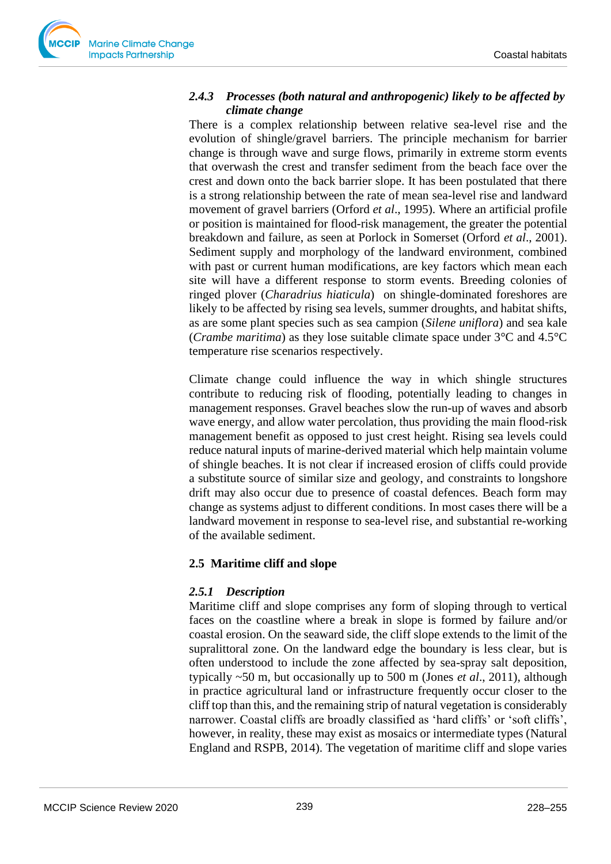

# *2.4.3 Processes (both natural and anthropogenic) likely to be affected by climate change*

There is a complex relationship between relative sea-level rise and the evolution of shingle/gravel barriers. The principle mechanism for barrier change is through wave and surge flows, primarily in extreme storm events that overwash the crest and transfer sediment from the beach face over the crest and down onto the back barrier slope. It has been postulated that there is a strong relationship between the rate of mean sea-level rise and landward movement of gravel barriers (Orford *et al*., 1995). Where an artificial profile or position is maintained for flood-risk management, the greater the potential breakdown and failure, as seen at Porlock in Somerset (Orford *et al*., 2001). Sediment supply and morphology of the landward environment, combined with past or current human modifications, are key factors which mean each site will have a different response to storm events. Breeding colonies of ringed plover (*Charadrius hiaticula*) on shingle-dominated foreshores are likely to be affected by rising sea levels, summer droughts, and habitat shifts, as are some plant species such as sea campion (*Silene uniflora*) and sea kale (*Crambe maritima*) as they lose suitable climate space under 3°C and 4.5°C temperature rise scenarios respectively.

Climate change could influence the way in which shingle structures contribute to reducing risk of flooding, potentially leading to changes in management responses. Gravel beaches slow the run-up of waves and absorb wave energy, and allow water percolation, thus providing the main flood-risk management benefit as opposed to just crest height. Rising sea levels could reduce natural inputs of marine-derived material which help maintain volume of shingle beaches. It is not clear if increased erosion of cliffs could provide a substitute source of similar size and geology, and constraints to longshore drift may also occur due to presence of coastal defences. Beach form may change as systems adjust to different conditions. In most cases there will be a landward movement in response to sea-level rise, and substantial re-working of the available sediment.

# **2.5 Maritime cliff and slope**

# *2.5.1 Description*

Maritime cliff and slope comprises any form of sloping through to vertical faces on the coastline where a break in slope is formed by failure and/or coastal erosion. On the seaward side, the cliff slope extends to the limit of the supralittoral zone. On the landward edge the boundary is less clear, but is often understood to include the zone affected by sea-spray salt deposition, typically ~50 m, but occasionally up to 500 m (Jones *et al*., 2011), although in practice agricultural land or infrastructure frequently occur closer to the cliff top than this, and the remaining strip of natural vegetation is considerably narrower. Coastal cliffs are broadly classified as 'hard cliffs' or 'soft cliffs', however, in reality, these may exist as mosaics or intermediate types (Natural England and RSPB, 2014). The vegetation of maritime cliff and slope varies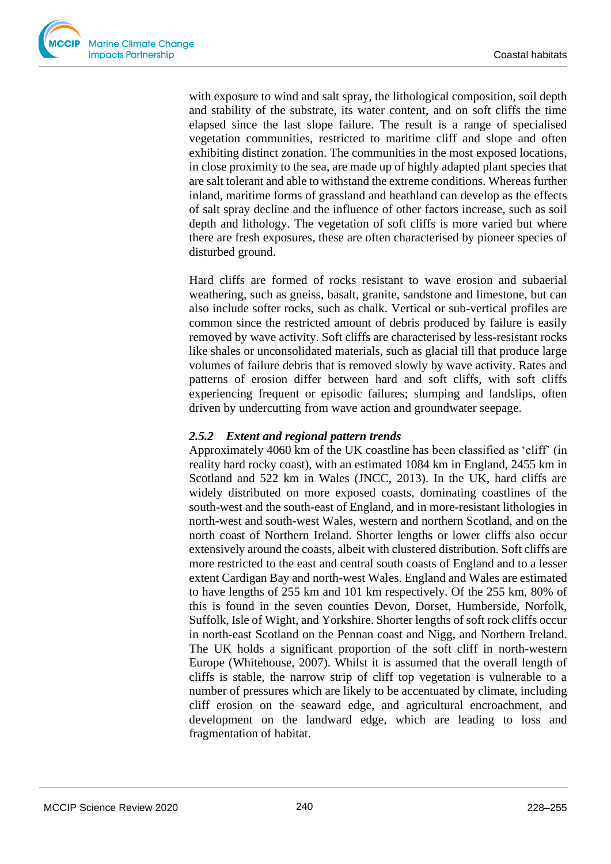

with exposure to wind and salt spray, the lithological composition, soil depth and stability of the substrate, its water content, and on soft cliffs the time elapsed since the last slope failure. The result is a range of specialised vegetation communities, restricted to maritime cliff and slope and often exhibiting distinct zonation. The communities in the most exposed locations, in close proximity to the sea, are made up of highly adapted plant species that are salt tolerant and able to withstand the extreme conditions. Whereas further inland, maritime forms of grassland and heathland can develop as the effects of salt spray decline and the influence of other factors increase, such as soil depth and lithology. The vegetation of soft cliffs is more varied but where there are fresh exposures, these are often characterised by pioneer species of disturbed ground.

Hard cliffs are formed of rocks resistant to wave erosion and subaerial weathering, such as gneiss, basalt, granite, sandstone and limestone, but can also include softer rocks, such as chalk. Vertical or sub-vertical profiles are common since the restricted amount of debris produced by failure is easily removed by wave activity. Soft cliffs are characterised by less-resistant rocks like shales or unconsolidated materials, such as glacial till that produce large volumes of failure debris that is removed slowly by wave activity. Rates and patterns of erosion differ between hard and soft cliffs, with soft cliffs experiencing frequent or episodic failures; slumping and landslips, often driven by undercutting from wave action and groundwater seepage.

## *2.5.2 Extent and regional pattern trends*

Approximately 4060 km of the UK coastline has been classified as 'cliff' (in reality hard rocky coast), with an estimated 1084 km in England, 2455 km in Scotland and 522 km in Wales (JNCC, 2013). In the UK, hard cliffs are widely distributed on more exposed coasts, dominating coastlines of the south-west and the south-east of England, and in more-resistant lithologies in north-west and south-west Wales, western and northern Scotland, and on the north coast of Northern Ireland. Shorter lengths or lower cliffs also occur extensively around the coasts, albeit with clustered distribution. Soft cliffs are more restricted to the east and central south coasts of England and to a lesser extent Cardigan Bay and north-west Wales. England and Wales are estimated to have lengths of 255 km and 101 km respectively. Of the 255 km, 80% of this is found in the seven counties Devon, Dorset, Humberside, Norfolk, Suffolk, Isle of Wight, and Yorkshire. Shorter lengths of soft rock cliffs occur in north-east Scotland on the Pennan coast and Nigg, and Northern Ireland. The UK holds a significant proportion of the soft cliff in north-western Europe (Whitehouse, 2007). Whilst it is assumed that the overall length of cliffs is stable, the narrow strip of cliff top vegetation is vulnerable to a number of pressures which are likely to be accentuated by climate, including cliff erosion on the seaward edge, and agricultural encroachment, and development on the landward edge, which are leading to loss and fragmentation of habitat.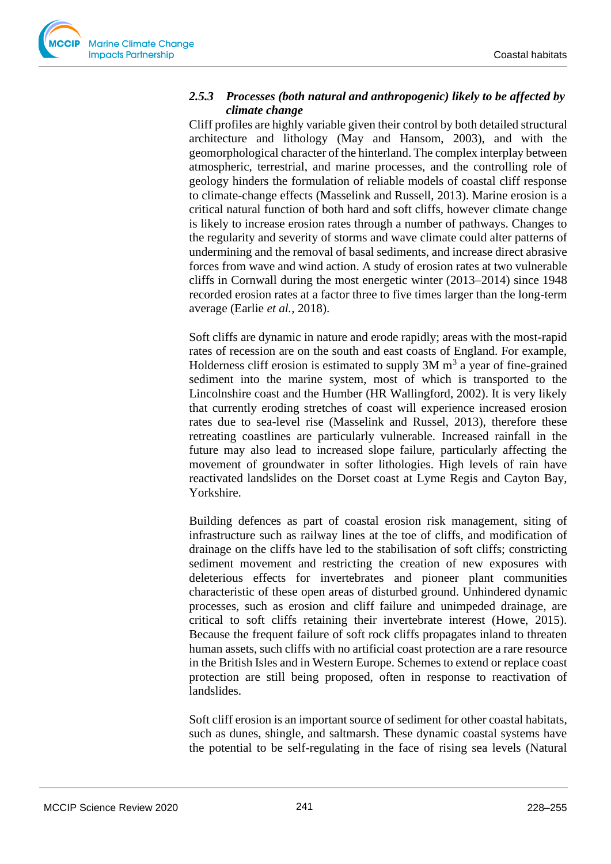

## *2.5.3 Processes (both natural and anthropogenic) likely to be affected by climate change*

Cliff profiles are highly variable given their control by both detailed structural architecture and lithology (May and Hansom, 2003), and with the geomorphological character of the hinterland. The complex interplay between atmospheric, terrestrial, and marine processes, and the controlling role of geology hinders the formulation of reliable models of coastal cliff response to climate-change effects (Masselink and Russell, 2013). Marine erosion is a critical natural function of both hard and soft cliffs, however climate change is likely to increase erosion rates through a number of pathways. Changes to the regularity and severity of storms and wave climate could alter patterns of undermining and the removal of basal sediments, and increase direct abrasive forces from wave and wind action. A study of erosion rates at two vulnerable cliffs in Cornwall during the most energetic winter (2013–2014) since 1948 recorded erosion rates at a factor three to five times larger than the long-term average (Earlie *et al.,* 2018).

Soft cliffs are dynamic in nature and erode rapidly; areas with the most-rapid rates of recession are on the south and east coasts of England. For example, Holderness cliff erosion is estimated to supply  $3M$  m<sup>3</sup> a year of fine-grained sediment into the marine system, most of which is transported to the Lincolnshire coast and the Humber (HR Wallingford, 2002). It is very likely that currently eroding stretches of coast will experience increased erosion rates due to sea-level rise (Masselink and Russel, 2013), therefore these retreating coastlines are particularly vulnerable. Increased rainfall in the future may also lead to increased slope failure, particularly affecting the movement of groundwater in softer lithologies. High levels of rain have reactivated landslides on the Dorset coast at Lyme Regis and Cayton Bay, Yorkshire.

Building defences as part of coastal erosion risk management, siting of infrastructure such as railway lines at the toe of cliffs, and modification of drainage on the cliffs have led to the stabilisation of soft cliffs; constricting sediment movement and restricting the creation of new exposures with deleterious effects for invertebrates and pioneer plant communities characteristic of these open areas of disturbed ground. Unhindered dynamic processes, such as erosion and cliff failure and unimpeded drainage, are critical to soft cliffs retaining their invertebrate interest (Howe, 2015). Because the frequent failure of soft rock cliffs propagates inland to threaten human assets, such cliffs with no artificial coast protection are a rare resource in the British Isles and in Western Europe. Schemes to extend or replace coast protection are still being proposed, often in response to reactivation of landslides.

Soft cliff erosion is an important source of sediment for other coastal habitats, such as dunes, shingle, and saltmarsh. These dynamic coastal systems have the potential to be self-regulating in the face of rising sea levels (Natural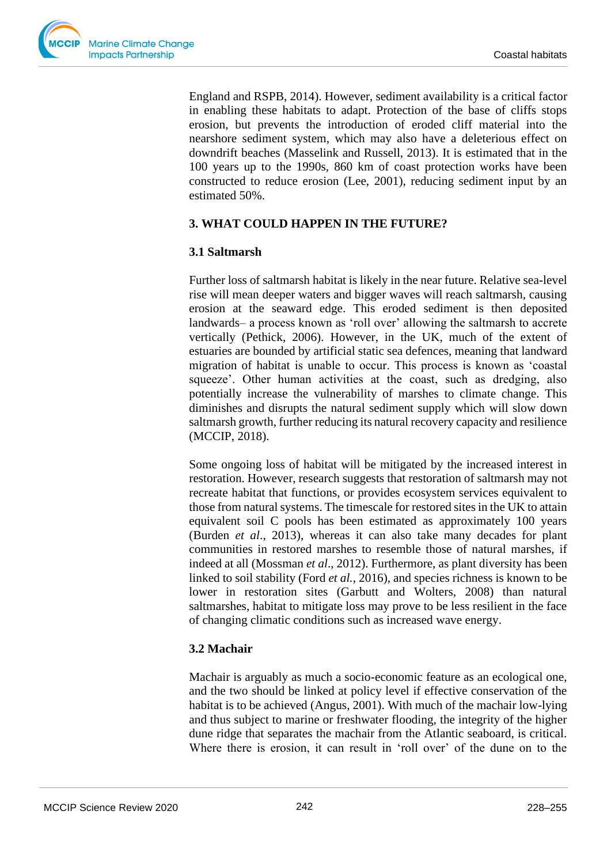

England and RSPB, 2014). However, sediment availability is a critical factor in enabling these habitats to adapt. Protection of the base of cliffs stops erosion, but prevents the introduction of eroded cliff material into the nearshore sediment system, which may also have a deleterious effect on downdrift beaches (Masselink and Russell, 2013). It is estimated that in the 100 years up to the 1990s, 860 km of coast protection works have been constructed to reduce erosion (Lee, 2001), reducing sediment input by an estimated 50%.

# **3. WHAT COULD HAPPEN IN THE FUTURE?**

## **3.1 Saltmarsh**

Further loss of saltmarsh habitat is likely in the near future. Relative sea-level rise will mean deeper waters and bigger waves will reach saltmarsh, causing erosion at the seaward edge. This eroded sediment is then deposited landwards– a process known as 'roll over' allowing the saltmarsh to accrete vertically (Pethick, 2006). However, in the UK, much of the extent of estuaries are bounded by artificial static sea defences, meaning that landward migration of habitat is unable to occur. This process is known as 'coastal squeeze'. Other human activities at the coast, such as dredging, also potentially increase the vulnerability of marshes to climate change. This diminishes and disrupts the natural sediment supply which will slow down saltmarsh growth, further reducing its natural recovery capacity and resilience (MCCIP, 2018).

Some ongoing loss of habitat will be mitigated by the increased interest in restoration. However, research suggests that restoration of saltmarsh may not recreate habitat that functions, or provides ecosystem services equivalent to those from natural systems. The timescale for restored sites in the UK to attain equivalent soil C pools has been estimated as approximately 100 years (Burden *et al*., 2013), whereas it can also take many decades for plant communities in restored marshes to resemble those of natural marshes, if indeed at all (Mossman *et al*., 2012). Furthermore, as plant diversity has been linked to soil stability (Ford *et al.*, 2016), and species richness is known to be lower in restoration sites (Garbutt and Wolters, 2008) than natural saltmarshes, habitat to mitigate loss may prove to be less resilient in the face of changing climatic conditions such as increased wave energy.

# **3.2 Machair**

Machair is arguably as much a socio-economic feature as an ecological one, and the two should be linked at policy level if effective conservation of the habitat is to be achieved (Angus, 2001). With much of the machair low-lying and thus subject to marine or freshwater flooding, the integrity of the higher dune ridge that separates the machair from the Atlantic seaboard, is critical. Where there is erosion, it can result in 'roll over' of the dune on to the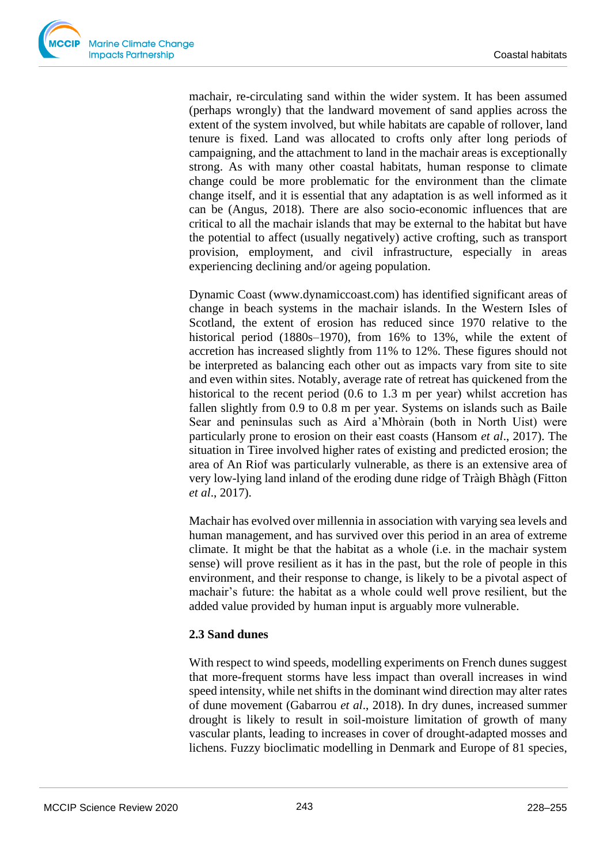machair, re-circulating sand within the wider system. It has been assumed (perhaps wrongly) that the landward movement of sand applies across the extent of the system involved, but while habitats are capable of rollover, land tenure is fixed. Land was allocated to crofts only after long periods of campaigning, and the attachment to land in the machair areas is exceptionally strong. As with many other coastal habitats, human response to climate change could be more problematic for the environment than the climate change itself, and it is essential that any adaptation is as well informed as it can be (Angus, 2018). There are also socio-economic influences that are critical to all the machair islands that may be external to the habitat but have the potential to affect (usually negatively) active crofting, such as transport provision, employment, and civil infrastructure, especially in areas experiencing declining and/or ageing population.

Dynamic Coast [\(www.dynamiccoast.com\)](http://www.dynamiccoast.com/) has identified significant areas of change in beach systems in the machair islands. In the Western Isles of Scotland, the extent of erosion has reduced since 1970 relative to the historical period (1880s–1970), from 16% to 13%, while the extent of accretion has increased slightly from 11% to 12%. These figures should not be interpreted as balancing each other out as impacts vary from site to site and even within sites. Notably, average rate of retreat has quickened from the historical to the recent period (0.6 to 1.3 m per year) whilst accretion has fallen slightly from 0.9 to 0.8 m per year. Systems on islands such as Baile Sear and peninsulas such as Aird a'Mhòrain (both in North Uist) were particularly prone to erosion on their east coasts (Hansom *et al*., 2017). The situation in Tiree involved higher rates of existing and predicted erosion; the area of An Riof was particularly vulnerable, as there is an extensive area of very low-lying land inland of the eroding dune ridge of Tràigh Bhàgh (Fitton *et al*., 2017).

Machair has evolved over millennia in association with varying sea levels and human management, and has survived over this period in an area of extreme climate. It might be that the habitat as a whole (i.e. in the machair system sense) will prove resilient as it has in the past, but the role of people in this environment, and their response to change, is likely to be a pivotal aspect of machair's future: the habitat as a whole could well prove resilient, but the added value provided by human input is arguably more vulnerable.

## **2.3 Sand dunes**

With respect to wind speeds, modelling experiments on French dunes suggest that more-frequent storms have less impact than overall increases in wind speed intensity, while net shifts in the dominant wind direction may alter rates of dune movement (Gabarrou *et al*., 2018). In dry dunes, increased summer drought is likely to result in soil-moisture limitation of growth of many vascular plants, leading to increases in cover of drought-adapted mosses and lichens. Fuzzy bioclimatic modelling in Denmark and Europe of 81 species,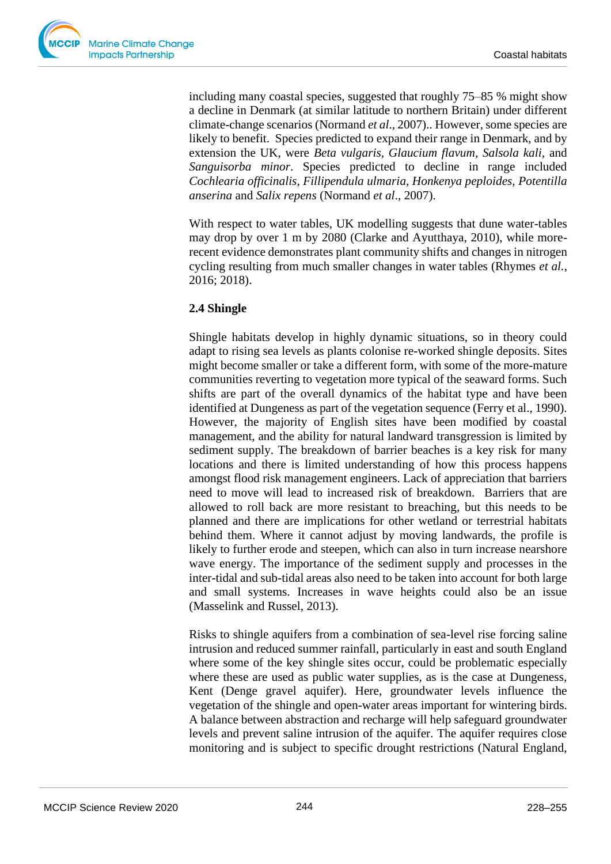including many coastal species, suggested that roughly 75–85 % might show a decline in Denmark (at similar latitude to northern Britain) under different climate-change scenarios (Normand *et al*., 2007).. However, some species are likely to benefit. Species predicted to expand their range in Denmark, and by extension the UK, were *Beta vulgaris, Glaucium flavum, Salsola kali,* and *Sanguisorba minor*. Species predicted to decline in range included *Cochlearia officinalis, Fillipendula ulmaria, Honkenya peploides, Potentilla anserina* and *Salix repens* (Normand *et al*., 2007).

With respect to water tables, UK modelling suggests that dune water-tables may drop by over 1 m by 2080 (Clarke and Ayutthaya, 2010), while morerecent evidence demonstrates plant community shifts and changes in nitrogen cycling resulting from much smaller changes in water tables (Rhymes *et al.*, 2016; 2018).

# **2.4 Shingle**

Shingle habitats develop in highly dynamic situations, so in theory could adapt to rising sea levels as plants colonise re-worked shingle deposits. Sites might become smaller or take a different form, with some of the more-mature communities reverting to vegetation more typical of the seaward forms. Such shifts are part of the overall dynamics of the habitat type and have been identified at Dungeness as part of the vegetation sequence (Ferry et al., 1990). However, the majority of English sites have been modified by coastal management, and the ability for natural landward transgression is limited by sediment supply. The breakdown of barrier beaches is a key risk for many locations and there is limited understanding of how this process happens amongst flood risk management engineers. Lack of appreciation that barriers need to move will lead to increased risk of breakdown. Barriers that are allowed to roll back are more resistant to breaching, but this needs to be planned and there are implications for other wetland or terrestrial habitats behind them. Where it cannot adjust by moving landwards, the profile is likely to further erode and steepen, which can also in turn increase nearshore wave energy. The importance of the sediment supply and processes in the inter-tidal and sub-tidal areas also need to be taken into account for both large and small systems. Increases in wave heights could also be an issue (Masselink and Russel, 2013).

Risks to shingle aquifers from a combination of sea-level rise forcing saline intrusion and reduced summer rainfall, particularly in east and south England where some of the key shingle sites occur, could be problematic especially where these are used as public water supplies, as is the case at Dungeness, Kent (Denge gravel aquifer). Here, groundwater levels influence the vegetation of the shingle and open-water areas important for wintering birds. A balance between abstraction and recharge will help safeguard groundwater levels and prevent saline intrusion of the aquifer. The aquifer requires close monitoring and is subject to specific drought restrictions (Natural England,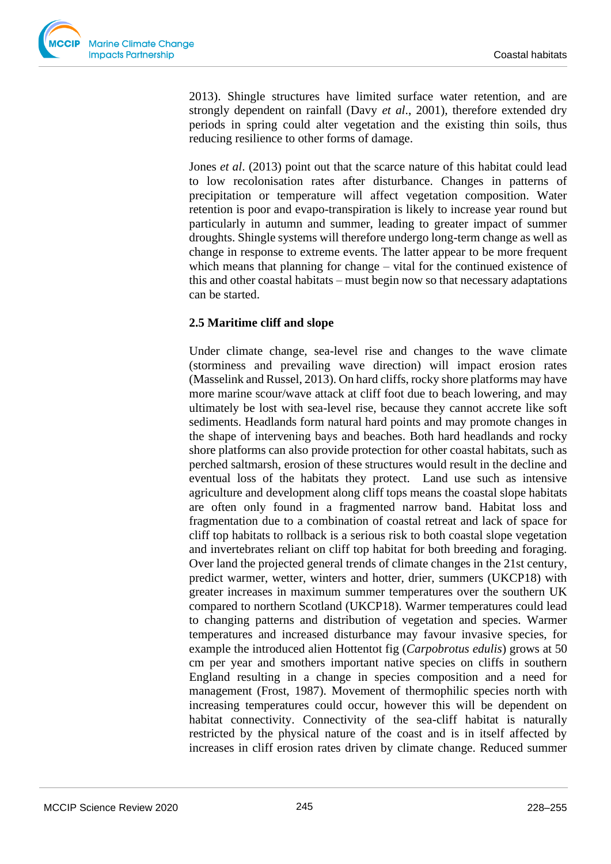2013). Shingle structures have limited surface water retention, and are strongly dependent on rainfall (Davy *et al*., 2001), therefore extended dry periods in spring could alter vegetation and the existing thin soils, thus reducing resilience to other forms of damage.

Jones *et al*. (2013) point out that the scarce nature of this habitat could lead to low recolonisation rates after disturbance. Changes in patterns of precipitation or temperature will affect vegetation composition. Water retention is poor and evapo-transpiration is likely to increase year round but particularly in autumn and summer, leading to greater impact of summer droughts. Shingle systems will therefore undergo long-term change as well as change in response to extreme events. The latter appear to be more frequent which means that planning for change – vital for the continued existence of this and other coastal habitats – must begin now so that necessary adaptations can be started.

# **2.5 Maritime cliff and slope**

Under climate change, sea-level rise and changes to the wave climate (storminess and prevailing wave direction) will impact erosion rates (Masselink and Russel, 2013). On hard cliffs, rocky shore platforms may have more marine scour/wave attack at cliff foot due to beach lowering, and may ultimately be lost with sea-level rise, because they cannot accrete like soft sediments. Headlands form natural hard points and may promote changes in the shape of intervening bays and beaches. Both hard headlands and rocky shore platforms can also provide protection for other coastal habitats, such as perched saltmarsh, erosion of these structures would result in the decline and eventual loss of the habitats they protect. Land use such as intensive agriculture and development along cliff tops means the coastal slope habitats are often only found in a fragmented narrow band. Habitat loss and fragmentation due to a combination of coastal retreat and lack of space for cliff top habitats to rollback is a serious risk to both coastal slope vegetation and invertebrates reliant on cliff top habitat for both breeding and foraging. Over land the projected general trends of climate changes in the 21st century, predict warmer, wetter, winters and hotter, drier, summers (UKCP18) with greater increases in maximum summer temperatures over the southern UK compared to northern Scotland (UKCP18). Warmer temperatures could lead to changing patterns and distribution of vegetation and species. Warmer temperatures and increased disturbance may favour invasive species, for example the introduced alien Hottentot fig (*Carpobrotus edulis*) grows at 50 cm per year and smothers important native species on cliffs in southern England resulting in a change in species composition and a need for management (Frost, 1987). Movement of thermophilic species north with increasing temperatures could occur, however this will be dependent on habitat connectivity. Connectivity of the sea-cliff habitat is naturally restricted by the physical nature of the coast and is in itself affected by increases in cliff erosion rates driven by climate change. Reduced summer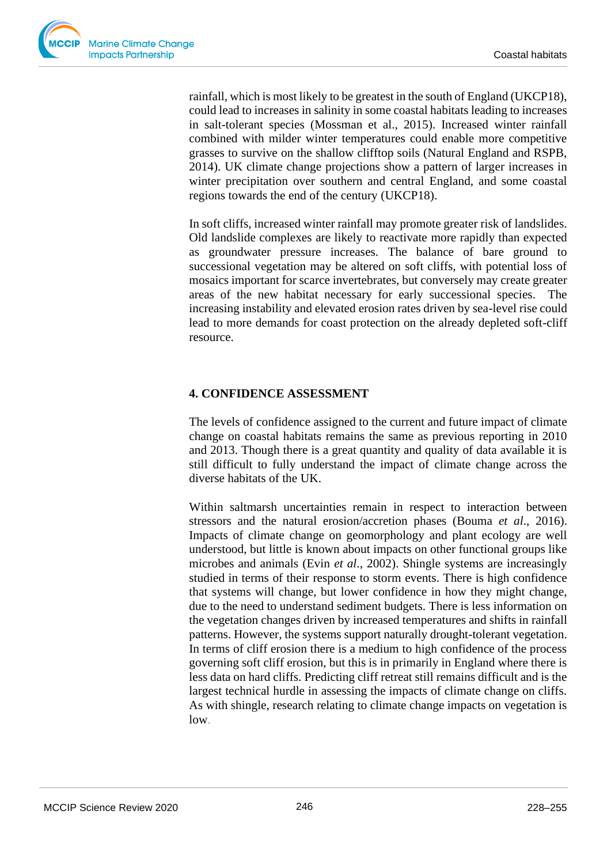rainfall, which is most likely to be greatest in the south of England (UKCP18), could lead to increases in salinity in some coastal habitats leading to increases in salt-tolerant species (Mossman et al., 2015). Increased winter rainfall combined with milder winter temperatures could enable more competitive grasses to survive on the shallow clifftop soils (Natural England and RSPB, 2014). UK climate change projections show a pattern of larger increases in winter precipitation over southern and central England, and some coastal regions towards the end of the century (UKCP18).

In soft cliffs, increased winter rainfall may promote greater risk of landslides. Old landslide complexes are likely to reactivate more rapidly than expected as groundwater pressure increases. The balance of bare ground to successional vegetation may be altered on soft cliffs, with potential loss of mosaics important for scarce invertebrates, but conversely may create greater areas of the new habitat necessary for early successional species. The increasing instability and elevated erosion rates driven by sea-level rise could lead to more demands for coast protection on the already depleted soft-cliff resource.

# **4. CONFIDENCE ASSESSMENT**

The levels of confidence assigned to the current and future impact of climate change on coastal habitats remains the same as previous reporting in 2010 and 2013. Though there is a great quantity and quality of data available it is still difficult to fully understand the impact of climate change across the diverse habitats of the UK.

Within saltmarsh uncertainties remain in respect to interaction between stressors and the natural erosion/accretion phases (Bouma *et al*., 2016). Impacts of climate change on geomorphology and plant ecology are well understood, but little is known about impacts on other functional groups like microbes and animals (Evin *et al*., 2002). Shingle systems are increasingly studied in terms of their response to storm events. There is high confidence that systems will change, but lower confidence in how they might change, due to the need to understand sediment budgets. There is less information on the vegetation changes driven by increased temperatures and shifts in rainfall patterns. However, the systems support naturally drought-tolerant vegetation. In terms of cliff erosion there is a medium to high confidence of the process governing soft cliff erosion, but this is in primarily in England where there is less data on hard cliffs. Predicting cliff retreat still remains difficult and is the largest technical hurdle in assessing the impacts of climate change on cliffs. As with shingle, research relating to climate change impacts on vegetation is low.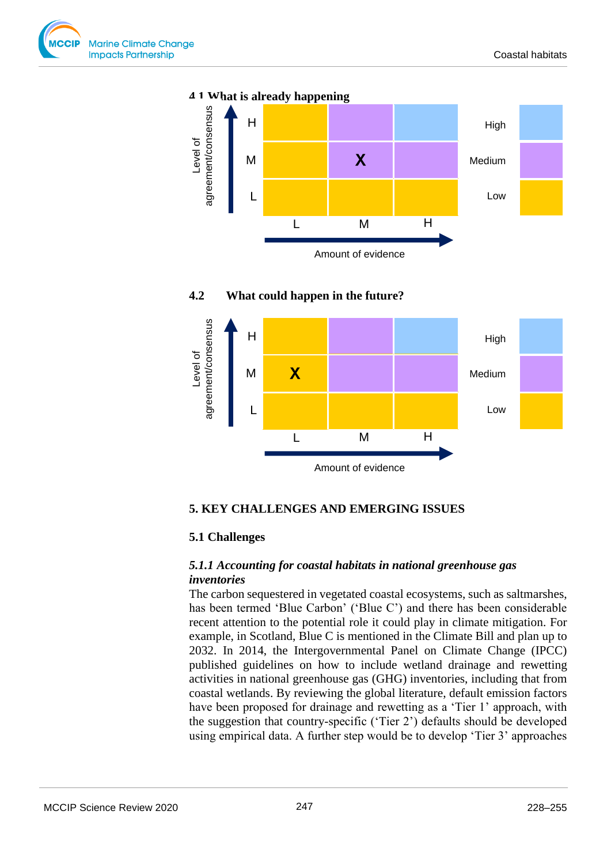





#### **4.2 What could happen in the future?**

## **5. KEY CHALLENGES AND EMERGING ISSUES**

#### **5.1 Challenges**

#### *5.1.1 Accounting for coastal habitats in national greenhouse gas inventories*

The carbon sequestered in vegetated coastal ecosystems, such as saltmarshes, has been termed 'Blue Carbon' ('Blue C') and there has been considerable recent attention to the potential role it could play in climate mitigation. For example, in Scotland, Blue C is mentioned in the Climate Bill and plan up to 2032. In 2014, the Intergovernmental Panel on Climate Change (IPCC) published guidelines on how to include wetland drainage and rewetting activities in national greenhouse gas (GHG) inventories, including that from coastal wetlands. By reviewing the global literature, default emission factors have been proposed for drainage and rewetting as a 'Tier 1' approach, with the suggestion that country-specific ('Tier 2') defaults should be developed using empirical data. A further step would be to develop 'Tier 3' approaches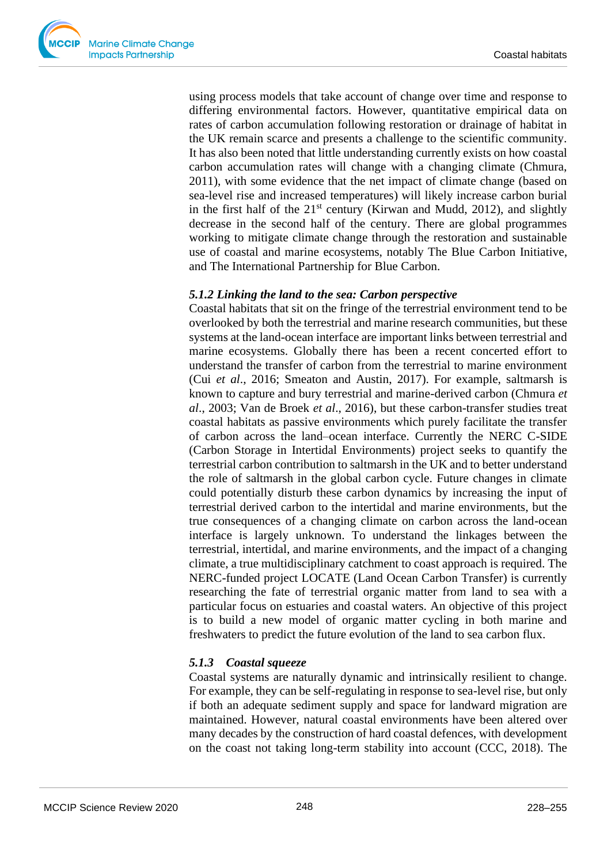using process models that take account of change over time and response to differing environmental factors. However, quantitative empirical data on rates of carbon accumulation following restoration or drainage of habitat in the UK remain scarce and presents a challenge to the scientific community. It has also been noted that little understanding currently exists on how coastal carbon accumulation rates will change with a changing climate (Chmura, 2011), with some evidence that the net impact of climate change (based on sea-level rise and increased temperatures) will likely increase carbon burial in the first half of the  $21<sup>st</sup>$  century (Kirwan and Mudd, 2012), and slightly decrease in the second half of the century. There are global programmes working to mitigate climate change through the restoration and sustainable use of coastal and marine ecosystems, notably The Blue Carbon Initiative, and The International Partnership for Blue Carbon.

#### *5.1.2 Linking the land to the sea: Carbon perspective*

Coastal habitats that sit on the fringe of the terrestrial environment tend to be overlooked by both the terrestrial and marine research communities, but these systems at the land-ocean interface are important links between terrestrial and marine ecosystems. Globally there has been a recent concerted effort to understand the transfer of carbon from the terrestrial to marine environment (Cui *et al*., 2016; Smeaton and Austin, 2017). For example, saltmarsh is known to capture and bury terrestrial and marine-derived carbon (Chmura *et al*., 2003; Van de Broek *et al*., 2016), but these carbon-transfer studies treat coastal habitats as passive environments which purely facilitate the transfer of carbon across the land–ocean interface. Currently the NERC C-SIDE (Carbon Storage in Intertidal Environments) project seeks to quantify the terrestrial carbon contribution to saltmarsh in the UK and to better understand the role of saltmarsh in the global carbon cycle. Future changes in climate could potentially disturb these carbon dynamics by increasing the input of terrestrial derived carbon to the intertidal and marine environments, but the true consequences of a changing climate on carbon across the land-ocean interface is largely unknown. To understand the linkages between the terrestrial, intertidal, and marine environments, and the impact of a changing climate, a true multidisciplinary catchment to coast approach is required. The NERC-funded project LOCATE (Land Ocean Carbon Transfer) is currently researching the fate of terrestrial organic matter from land to sea with a particular focus on estuaries and coastal waters. An objective of this project is to build a new model of organic matter cycling in both marine and freshwaters to predict the future evolution of the land to sea carbon flux.

# *5.1.3 Coastal squeeze*

Coastal systems are naturally dynamic and intrinsically resilient to change. For example, they can be self-regulating in response to sea-level rise, but only if both an adequate sediment supply and space for landward migration are maintained. However, natural coastal environments have been altered over many decades by the construction of hard coastal defences, with development on the coast not taking long-term stability into account (CCC, 2018). The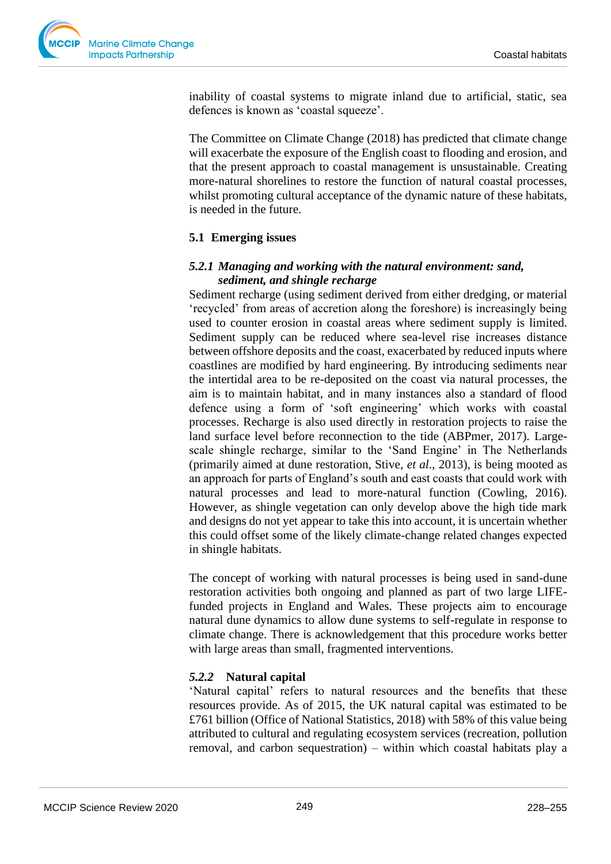

inability of coastal systems to migrate inland due to artificial, static, sea defences is known as 'coastal squeeze'.

The Committee on Climate Change (2018) has predicted that climate change will exacerbate the exposure of the English coast to flooding and erosion, and that the present approach to coastal management is unsustainable. Creating more-natural shorelines to restore the function of natural coastal processes, whilst promoting cultural acceptance of the dynamic nature of these habitats, is needed in the future.

## **5.1 Emerging issues**

#### *5.2.1 Managing and working with the natural environment: sand, sediment, and shingle recharge*

Sediment recharge (using sediment derived from either dredging, or material 'recycled' from areas of accretion along the foreshore) is increasingly being used to counter erosion in coastal areas where sediment supply is limited. Sediment supply can be reduced where sea-level rise increases distance between offshore deposits and the coast, exacerbated by reduced inputs where coastlines are modified by hard engineering. By introducing sediments near the intertidal area to be re-deposited on the coast via natural processes, the aim is to maintain habitat, and in many instances also a standard of flood defence using a form of 'soft engineering' which works with coastal processes. Recharge is also used directly in restoration projects to raise the land surface level before reconnection to the tide (ABPmer, 2017). Largescale shingle recharge, similar to the 'Sand Engine' in The Netherlands (primarily aimed at dune restoration, Stive, *et al*., 2013), is being mooted as an approach for parts of England's south and east coasts that could work with natural processes and lead to more-natural function (Cowling, 2016). However, as shingle vegetation can only develop above the high tide mark and designs do not yet appear to take this into account, it is uncertain whether this could offset some of the likely climate-change related changes expected in shingle habitats.

The concept of working with natural processes is being used in sand-dune restoration activities both ongoing and planned as part of two large LIFEfunded projects in England and Wales. These projects aim to encourage natural dune dynamics to allow dune systems to self-regulate in response to climate change. There is acknowledgement that this procedure works better with large areas than small, fragmented interventions.

## *5.2.2* **Natural capital**

'Natural capital' refers to natural resources and the benefits that these resources provide. As of 2015, the UK natural capital was estimated to be £761 billion (Office of National Statistics, 2018) with 58% of this value being attributed to cultural and regulating ecosystem services (recreation, pollution removal, and carbon sequestration) – within which coastal habitats play a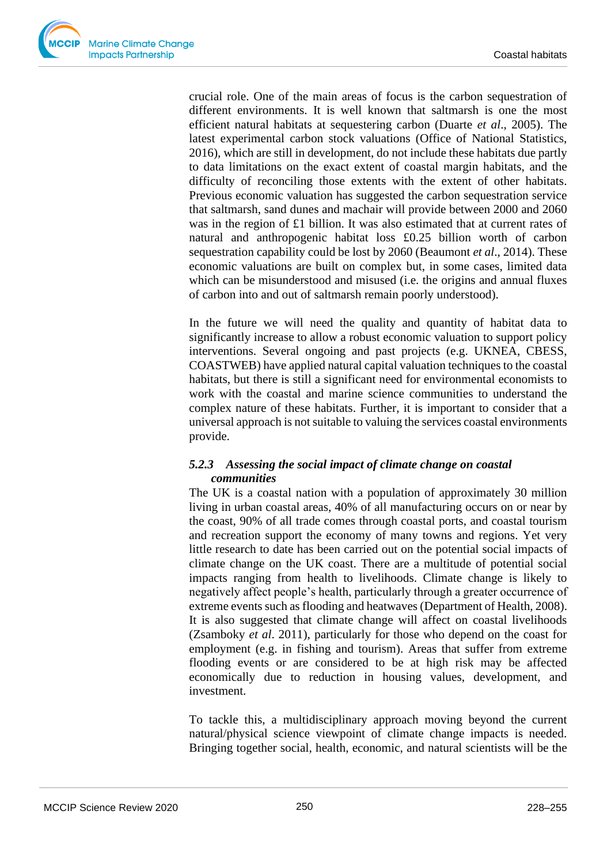

crucial role. One of the main areas of focus is the carbon sequestration of different environments. It is well known that saltmarsh is one the most efficient natural habitats at sequestering carbon (Duarte *et al*., 2005). The latest experimental carbon stock valuations (Office of National Statistics, 2016), which are still in development, do not include these habitats due partly to data limitations on the exact extent of coastal margin habitats, and the difficulty of reconciling those extents with the extent of other habitats. Previous economic valuation has suggested the carbon sequestration service that saltmarsh, sand dunes and machair will provide between 2000 and 2060 was in the region of £1 billion. It was also estimated that at current rates of natural and anthropogenic habitat loss £0.25 billion worth of carbon sequestration capability could be lost by 2060 (Beaumont *et al*., 2014). These economic valuations are built on complex but, in some cases, limited data which can be misunderstood and misused (i.e. the origins and annual fluxes of carbon into and out of saltmarsh remain poorly understood).

In the future we will need the quality and quantity of habitat data to significantly increase to allow a robust economic valuation to support policy interventions. Several ongoing and past projects (e.g. UKNEA, CBESS, COASTWEB) have applied natural capital valuation techniques to the coastal habitats, but there is still a significant need for environmental economists to work with the coastal and marine science communities to understand the complex nature of these habitats. Further, it is important to consider that a universal approach is not suitable to valuing the services coastal environments provide.

# *5.2.3 Assessing the social impact of climate change on coastal communities*

The UK is a coastal nation with a population of approximately 30 million living in urban coastal areas, 40% of all manufacturing occurs on or near by the coast, 90% of all trade comes through coastal ports, and coastal tourism and recreation support the economy of many towns and regions. Yet very little research to date has been carried out on the potential social impacts of climate change on the UK coast. There are a multitude of potential social impacts ranging from health to livelihoods. Climate change is likely to negatively affect people's health, particularly through a greater occurrence of extreme events such as flooding and heatwaves (Department of Health, 2008). It is also suggested that climate change will affect on coastal livelihoods (Zsamboky *et al*. 2011), particularly for those who depend on the coast for employment (e.g. in fishing and tourism). Areas that suffer from extreme flooding events or are considered to be at high risk may be affected economically due to reduction in housing values, development, and investment.

To tackle this, a multidisciplinary approach moving beyond the current natural/physical science viewpoint of climate change impacts is needed. Bringing together social, health, economic, and natural scientists will be the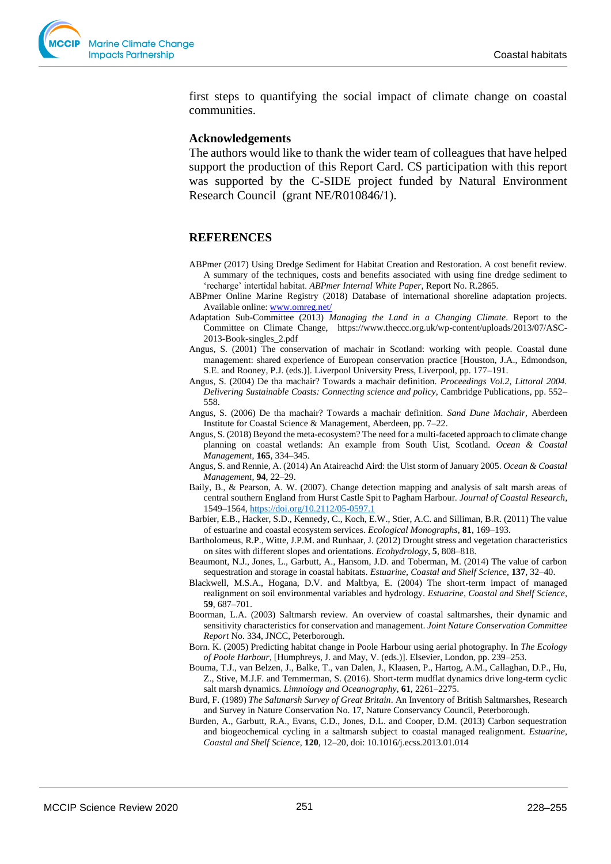

first steps to quantifying the social impact of climate change on coastal communities.

#### **Acknowledgements**

The authors would like to thank the wider team of colleagues that have helped support the production of this Report Card. CS participation with this report was supported by the C-SIDE project funded by Natural Environment Research Council (grant NE/R010846/1).

#### **REFERENCES**

- ABPmer (2017) Using Dredge Sediment for Habitat Creation and Restoration. A cost benefit review. A summary of the techniques, costs and benefits associated with using fine dredge sediment to 'recharge' intertidal habitat. *ABPmer Internal White Paper*, Report No. R.2865.
- ABPmer Online Marine Registry (2018) Database of international shoreline adaptation projects. Available online: [www.omreg.net/](http://www.omreg.net/)
- Adaptation Sub-Committee (2013) *Managing the Land in a Changing Climate*. Report to the Committee on Climate Change, https://www.theccc.org.uk/wp-content/uploads/2013/07/ASC-2013-Book-singles\_2.pdf
- Angus, S. (2001) The conservation of machair in Scotland: working with people. Coastal dune management: shared experience of European conservation practice [Houston, J.A., Edmondson, S.E. and Rooney, P.J. (eds.)]. Liverpool University Press, Liverpool, pp. 177–191.
- Angus, S. (2004) De tha machair? Towards a machair definition. *Proceedings Vol.2, Littoral 2004. Delivering Sustainable Coasts: Connecting science and policy*, Cambridge Publications, pp. 552– 558.
- Angus, S. (2006) De tha machair? Towards a machair definition. *Sand Dune Machair,* Aberdeen Institute for Coastal Science & Management, Aberdeen, pp. 7–22.
- Angus, S. (2018) Beyond the meta-ecosystem? The need for a multi-faceted approach to climate change planning on coastal wetlands: An example from South Uist, Scotland. *Ocean & Coastal Management*, **165**, 334–345.
- Angus, S. and Rennie, A. (2014) An Ataireachd Aird: the Uist storm of January 2005. *Ocean & Coastal Management*, **94**, 22–29.
- Baily, B., & Pearson, A. W. (2007). Change detection mapping and analysis of salt marsh areas of central southern England from Hurst Castle Spit to Pagham Harbour. *Journal of Coastal Research*, 1549–1564, <https://doi.org/10.2112/05-0597.1>
- Barbier, E.B., Hacker, S.D., Kennedy, C., Koch, E.W., Stier, A.C. and Silliman, B.R. (2011) The value of estuarine and coastal ecosystem services. *Ecological Monographs*, **81**, 169–193.
- Bartholomeus, R.P., Witte, J.P.M. and Runhaar, J. (2012) Drought stress and vegetation characteristics on sites with different slopes and orientations. *Ecohydrology*, **5**, 808–818.
- Beaumont, N.J., Jones, L., Garbutt, A., Hansom, J.D. and Toberman, M. (2014) The value of carbon sequestration and storage in coastal habitats. *Estuarine, Coastal and Shelf Science*, **137**, 32–40.
- Blackwell, M.S.A., Hogana, D.V. and Maltbya, E. (2004) The short-term impact of managed realignment on soil environmental variables and hydrology. *Estuarine, Coastal and Shelf Science*, **59**, 687–701.
- Boorman, L.A. (2003) Saltmarsh review. An overview of coastal saltmarshes, their dynamic and sensitivity characteristics for conservation and management. *Joint Nature Conservation Committee Report* No. 334, JNCC, Peterborough.
- Born. K. (2005) Predicting habitat change in Poole Harbour using aerial photography. In *The Ecology of Poole Harbour*, [Humphreys, J. and May, V. (eds.)]. Elsevier, London, pp. 239–253.
- Bouma, T.J., van Belzen, J., Balke, T., van Dalen, J., Klaasen, P., Hartog, A.M., Callaghan, D.P., Hu, Z., Stive, M.J.F. and Temmerman, S. (2016). Short-term mudflat dynamics drive long-term cyclic salt marsh dynamics. *Limnology and Oceanography*, **61**, 2261–2275.
- Burd, F. (1989) *The Saltmarsh Survey of Great Britain*. An Inventory of British Saltmarshes, Research and Survey in Nature Conservation No. 17, Nature Conservancy Council, Peterborough.
- Burden, A., Garbutt, R.A., Evans, C.D., Jones, D.L. and Cooper, D.M. (2013) Carbon sequestration and biogeochemical cycling in a saltmarsh subject to coastal managed realignment. *Estuarine, Coastal and Shelf Science*, **120**, 12–20, doi: 10.1016/j.ecss.2013.01.014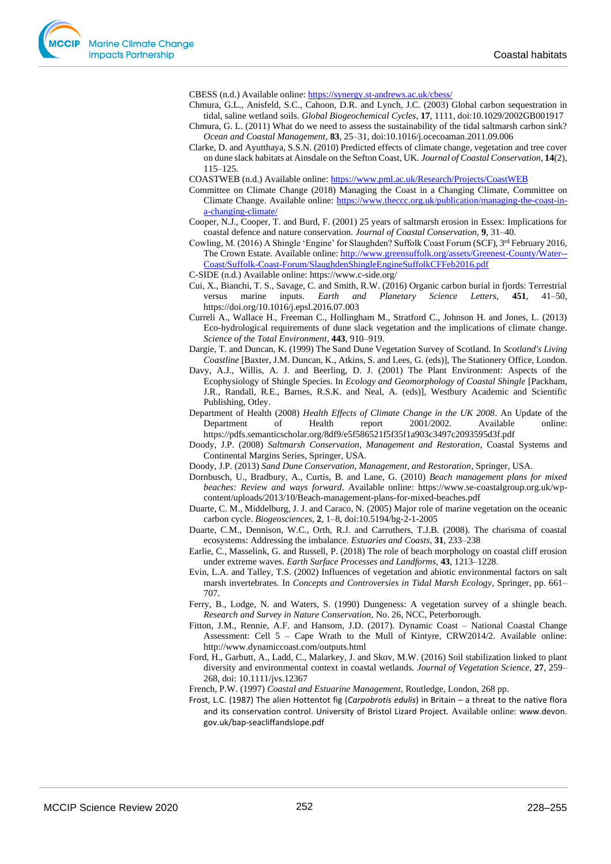CBESS (n.d.) Available online[: https://synergy.st-andrews.ac.uk/cbess/](https://synergy.st-andrews.ac.uk/cbess/)

- Chmura, G.L., Anisfeld, S.C., Cahoon, D.R. and Lynch, J.C. (2003) Global carbon sequestration in tidal, saline wetland soils. *Global Biogeochemical Cycles*, **17**, 1111, doi:10.1029/2002GB001917
- Chmura, G. L. (2011) What do we need to assess the sustainability of the tidal saltmarsh carbon sink? *Ocean and Coastal Management*, **83**, 25–31, doi:10.1016/j.ocecoaman.2011.09.006
- Clarke, D. and Ayutthaya, S.S.N. (2010) Predicted effects of climate change, vegetation and tree cover on dune slack habitats at Ainsdale on the Sefton Coast, UK. *Journal of Coastal Conservation*, **14**(2), 115–125.

COASTWEB (n.d.) Available online[: https://www.pml.ac.uk/Research/Projects/CoastWEB](https://www.pml.ac.uk/Research/Projects/CoastWEB)

Committee on Climate Change (2018) Managing the Coast in a Changing Climate, Committee on Climate Change. Available online: [https://www.theccc.org.uk/publication/managing-the-coast-in](https://www.theccc.org.uk/publication/managing-the-coast-in-a-changing-climate/)[a-changing-climate/](https://www.theccc.org.uk/publication/managing-the-coast-in-a-changing-climate/) 

Cooper, N.J., Cooper, T. and Burd, F. (2001) 25 years of saltmarsh erosion in Essex: Implications for coastal defence and nature conservation. *Journal of Coastal Conservation,* **9**, 31–40.

Cowling, M. (2016) A Shingle 'Engine' for Slaughden? Suffolk Coast Forum (SCF), 3rd February 2016, The Crown Estate. Available online: [http://www.greensuffolk.org/assets/Greenest-County/Water--](http://www.greensuffolk.org/assets/Greenest-County/Water--Coast/Suffolk-Coast-Forum/SlaughdenShingleEngineSuffolkCFFeb2016.pdf) [Coast/Suffolk-Coast-Forum/SlaughdenShingleEngineSuffolkCFFeb2016.pdf](http://www.greensuffolk.org/assets/Greenest-County/Water--Coast/Suffolk-Coast-Forum/SlaughdenShingleEngineSuffolkCFFeb2016.pdf)

C-SIDE (n.d.) Available online: https://www.c-side.org/

- Cui, X., Bianchi, T. S., Savage, C. and Smith, R.W. (2016) Organic carbon burial in fjords: Terrestrial versus marine inputs. *Earth and Planetary Science Letters*, **451**, 41–50, https://doi.org/10.1016/j.epsl.2016.07.003
- Curreli A., Wallace H., Freeman C., Hollingham M., Stratford C., Johnson H. and Jones, L. (2013) Eco-hydrological requirements of dune slack vegetation and the implications of climate change. *Science of the Total Environment*, **443**, 910–919.
- Dargie, T. and Duncan, K. (1999) The Sand Dune Vegetation Survey of Scotland. In *Scotland's Living Coastline* [Baxter, J.M. Duncan, K., Atkins, S. and Lees, G. (eds)], The Stationery Office, London.
- Davy, A.J., Willis, A. J. and Beerling, D. J. (2001) The Plant Environment: Aspects of the Ecophysiology of Shingle Species. In *Ecology and Geomorphology of Coastal Shingle* [Packham, J.R., Randall, R.E., Barnes, R.S.K. and Neal, A. (eds)], Westbury Academic and Scientific Publishing, Otley.
- Department of Health (2008) *Health Effects of Climate Change in the UK 2008*. An Update of the Department of Health report 2001/2002. Available online: https://pdfs.semanticscholar.org/8df9/e5f586521f5f35f1a903c3497c2093595d3f.pdf
- Doody, J.P. (2008) *Saltmarsh Conservation, Management and Restoration*, Coastal Systems and Continental Margins Series, Springer, USA.
- Doody, J.P. (2013) *Sand Dune Conservation, Management, and Restoration*, Springer, USA.
- Dornbusch, U., Bradbury, A., Curtis, B. and Lane, G. (2010) *Beach management plans for mixed beaches: Review and ways forward*. Available online: [https://www.se-coastalgroup.org.uk/wp](https://www.se-coastalgroup.org.uk/wp-content/uploads/2013/10/Beach-management-plans-for-mixed-beaches.pdf)[content/uploads/2013/10/Beach-management-plans-for-mixed-beaches.pdf](https://www.se-coastalgroup.org.uk/wp-content/uploads/2013/10/Beach-management-plans-for-mixed-beaches.pdf)
- Duarte, C. M., Middelburg, J. J. and Caraco, N. (2005) Major role of marine vegetation on the oceanic carbon cycle. *Biogeosciences*, **2**, 1–8, doi:10.5194/bg-2-1-2005
- Duarte, C.M., Dennison, W.C., Orth, R.J. and Carruthers, T.J.B. (2008). The charisma of coastal ecosystems: Addressing the imbalance. *Estuaries and Coasts*, **31**, 233–238
- Earlie, C., Masselink, G. and Russell, P. (2018) The role of beach morphology on coastal cliff erosion under extreme waves. *Earth Surface Processes and Landforms*, **43**, 1213–1228.
- Evin, L.A. and Talley, T.S. (2002) Influences of vegetation and abiotic environmental factors on salt marsh invertebrates. In *Concepts and Controversies in Tidal Marsh Ecology*, Springer, pp. 661– 707.
- Ferry, B., Lodge, N. and Waters, S. (1990) Dungeness: A vegetation survey of a shingle beach. *Research and Survey in Nature Conservation,* No. 26, NCC, Peterborough.
- Fitton, J.M., Rennie, A.F. and Hansom, J.D. (2017). Dynamic Coast National Coastal Change Assessment: Cell 5 – Cape Wrath to the Mull of Kintyre, CRW2014/2. Available online: <http://www.dynamiccoast.com/outputs.html>
- Ford, H., Garbutt, A., Ladd, C., Malarkey, J. and Skov, M.W. (2016) Soil stabilization linked to plant diversity and environmental context in coastal wetlands. *Journal of Vegetation Science*, **27**, 259– 268, doi: 10.1111/jvs.12367

French, P.W. (1997) *Coastal and Estuarine Management*, Routledge, London, 268 pp.

Frost, L.C. (1987) The alien Hottentot fig (*Carpobrotis edulis*) in Britain – a threat to the native flora and its conservation control. University of Bristol Lizard Project. Available online: www.devon. gov.uk/bap-seacliffandslope.pdf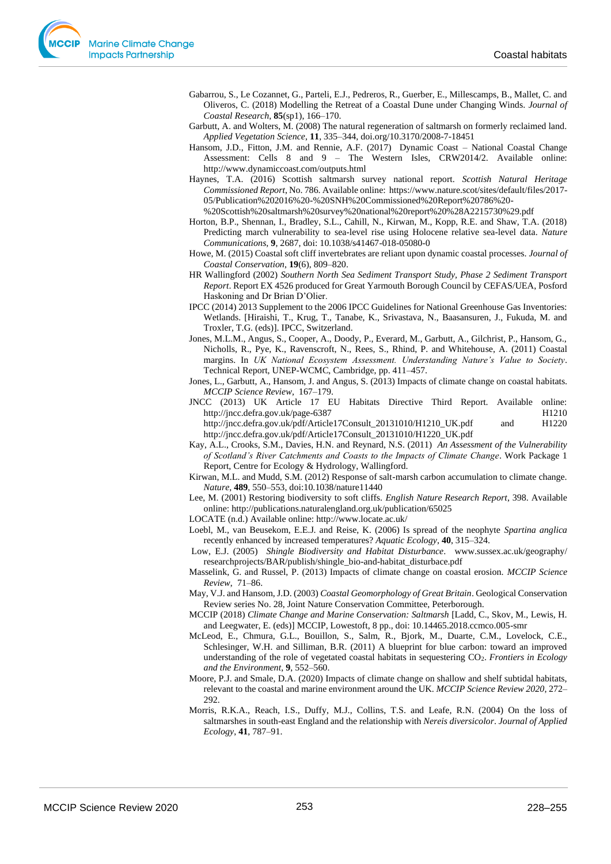- Gabarrou, S., Le Cozannet, G., Parteli, E.J., Pedreros, R., Guerber, E., Millescamps, B., Mallet, C. and Oliveros, C. (2018) Modelling the Retreat of a Coastal Dune under Changing Winds. *Journal of Coastal Research*, **85**(sp1), 166–170.
- Garbutt, A. and Wolters, M. (2008) The natural regeneration of saltmarsh on formerly reclaimed land. *Applied Vegetation Science*, **11**, 335–344[, doi.org/10.3170/2008-7-18451](https://doi.org/10.3170/2008-7-18451)
- Hansom, J.D., Fitton, J.M. and Rennie, A.F. (2017) Dynamic Coast National Coastal Change Assessment: Cells 8 and 9 – The Western Isles, CRW2014/2. Available online: <http://www.dynamiccoast.com/outputs.html>
- Haynes, T.A. (2016) Scottish saltmarsh survey national report. *Scottish Natural Heritage Commissioned Report*, No. 786. Available online: https://www.nature.scot/sites/default/files/2017- 05/Publication%202016%20-%20SNH%20Commissioned%20Report%20786%20-
	- %20Scottish%20saltmarsh%20survey%20national%20report%20%28A2215730%29.pdf
- Horton, B.P., Shennan, I., Bradley, S.L., Cahill, N., Kirwan, M., Kopp, R.E. and Shaw, T.A. (2018) Predicting march vulnerability to sea-level rise using Holocene relative sea-level data. *Nature Communications,* **9**, 2687, doi: 10.1038/s41467-018-05080-0
- Howe, M. (2015) Coastal soft cliff invertebrates are reliant upon dynamic coastal processes. *Journal of Coastal Conservation*, **19**(6), 809–820.
- HR Wallingford (2002) *Southern North Sea Sediment Transport Study, Phase 2 Sediment Transport Report*. Report EX 4526 produced for Great Yarmouth Borough Council by CEFAS/UEA, Posford Haskoning and Dr Brian D'Olier.
- IPCC (2014) 2013 Supplement to the 2006 IPCC Guidelines for National Greenhouse Gas Inventories: Wetlands. [Hiraishi, T., Krug, T., Tanabe, K., Srivastava, N., Baasansuren, J., Fukuda, M. and Troxler, T.G. (eds)]. IPCC, Switzerland.
- Jones, M.L.M., Angus, S., Cooper, A., Doody, P., Everard, M., Garbutt, A., Gilchrist, P., Hansom, G., Nicholls, R., Pye, K., Ravenscroft, N., Rees, S., Rhind, P. and Whitehouse, A. (2011) Coastal margins. In *UK National Ecosystem Assessment. Understanding Nature's Value to Society*. Technical Report, UNEP-WCMC, Cambridge, pp. 411–457.
- Jones, L., Garbutt, A., Hansom, J. and Angus, S. (2013) Impacts of climate change on coastal habitats. *MCCIP Science Review,* 167–179.

JNCC (2013) UK Article 17 EU Habitats Directive Third Report. Available online: <http://jncc.defra.gov.uk/page-6387>H1210 http://jncc.defra.gov.uk/pdf/Article17Consult\_20131010/H1210\_UK.pdf and H1220 [http://jncc.defra.gov.uk/pdf/Article17Consult\\_20131010/H1220\\_UK.pdf](http://jncc.defra.gov.uk/pdf/Article17Consult_20131010/H1220_UK.pdf)

Kay, A.L., Crooks, S.M., Davies, H.N. and Reynard, N.S. (2011) *An Assessment of the Vulnerability of Scotland's River Catchments and Coasts to the Impacts of Climate Change*. Work Package 1 Report, Centre for Ecology & Hydrology, Wallingford.

Kirwan, M.L. and Mudd, S.M. (2012) Response of salt-marsh carbon accumulation to climate change. *Nature,* **489**, 550–553, doi:10.1038/nature11440

Lee, M. (2001) Restoring biodiversity to soft cliffs. *English Nature Research Report*, 398. Available online: http://publications.naturalengland.org.uk/publication/65025

LOCATE (n.d.) Available online[: http://www.locate.ac.uk/](http://www.locate.ac.uk/)

Loebl, M., van Beusekom, E.E.J. and Reise, K. (2006) Is spread of the neophyte *Spartina anglica* recently enhanced by increased temperatures? *Aquatic Ecology*, **40**, 315–324.

Low, E.J. (2005) *Shingle Biodiversity and Habitat Disturbance*. www.sussex.ac.uk/geography/ researchprojects/BAR/publish/shingle\_bio-and-habitat\_disturbace.pdf

Masselink, G. and Russel, P. (2013) Impacts of climate change on coastal erosion. *MCCIP Science Review*, 71–86.

- May, V.J. and Hansom, J.D. (2003) *Coastal Geomorphology of Great Britain*. Geological Conservation Review series No. 28, Joint Nature Conservation Committee, Peterborough.
- MCCIP (2018) *Climate Change and Marine Conservation: Saltmarsh* [Ladd, C., Skov, M., Lewis, H. and Leegwater, E. (eds)] MCCIP, Lowestoft, 8 pp., doi: 10.14465.2018.ccmco.005-smr
- McLeod, E., Chmura, G.L., Bouillon, S., Salm, R., Bjork, M., Duarte, C.M., Lovelock, C.E., Schlesinger, W.H. and Silliman, B.R. (2011) A blueprint for blue carbon: toward an improved understanding of the role of vegetated coastal habitats in sequestering CO2. *Frontiers in Ecology and the Environment*, **9**, 552–560.
- Moore, P.J. and Smale, D.A. (2020) Impacts of climate change on shallow and shelf subtidal habitats, relevant to the coastal and marine environment around the UK. *MCCIP Science Review 2020*, 272– 292.
- Morris, R.K.A., Reach, I.S., Duffy, M.J., Collins, T.S. and Leafe, R.N. (2004) On the loss of saltmarshes in south-east England and the relationship with *Nereis diversicolor*. *Journal of Applied Ecology*, **41**, 787–91.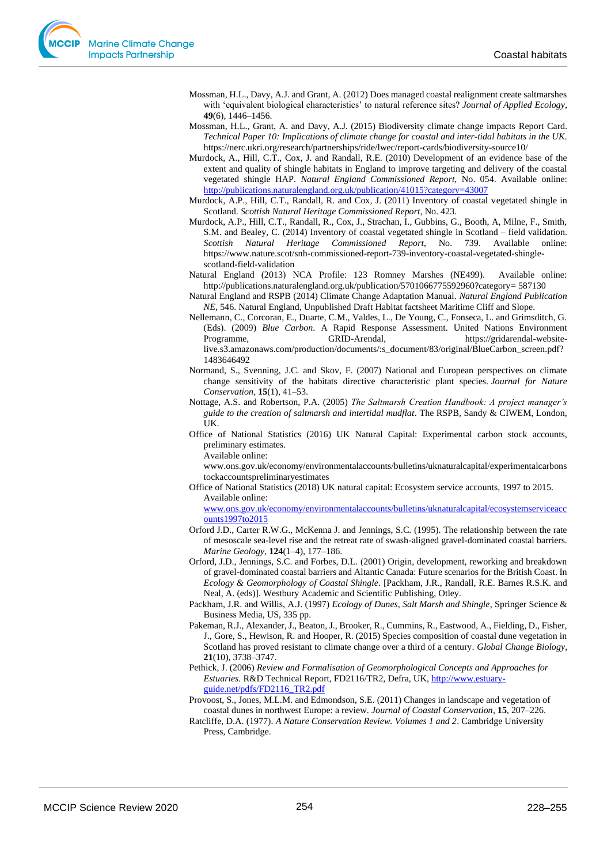- Mossman, H.L., Davy, A.J. and Grant, A. (2012) Does managed coastal realignment create saltmarshes with 'equivalent biological characteristics' to natural reference sites? *Journal of Applied Ecology*, **49**(6), 1446–1456.
- Mossman, H.L., Grant, A. and Davy, A.J. (2015) Biodiversity climate change impacts Report Card. *Technical Paper 10: Implications of climate change for coastal and inter-tidal habitats in the UK*. <https://nerc.ukri.org/research/partnerships/ride/lwec/report-cards/biodiversity-source10/>
- Murdock, A., Hill, C.T., Cox, J. and Randall, R.E. (2010) Development of an evidence base of the extent and quality of shingle habitats in England to improve targeting and delivery of the coastal vegetated shingle HAP. *Natural England Commissioned Report,* No. 054. Available online: <http://publications.naturalengland.org.uk/publication/41015?category=43007>
- Murdock, A.P., Hill, C.T., Randall, R. and Cox, J. (2011) Inventory of coastal vegetated shingle in Scotland. *Scottish Natural Heritage Commissioned Report*, No. 423.
- Murdock, A.P., Hill, C.T., Randall, R., Cox, J., Strachan, I., Gubbins, G., Booth, A, Milne, F., Smith, S.M. and Bealey, C. (2014) Inventory of coastal vegetated shingle in Scotland – field validation. *Scottish Natural Heritage Commissioned Report*, No. 739. Available online: [https://www.nature.scot/snh-commissioned-report-739-inventory-coastal-vegetated-shingle](https://www.nature.scot/snh-commissioned-report-739-inventory-coastal-vegetated-shingle-scotland-field-validation)[scotland-field-validation](https://www.nature.scot/snh-commissioned-report-739-inventory-coastal-vegetated-shingle-scotland-field-validation)
- Natural England (2013) NCA Profile: 123 Romney Marshes (NE499). Available online: http://publications.naturalengland.org.uk/publication/5701066775592960?category= 587130
- Natural England and RSPB (2014) Climate Change Adaptation Manual. *Natural England Publication NE*, 546. Natural England, Unpublished Draft Habitat factsheet Maritime Cliff and Slope.
- Nellemann, C., Corcoran, E., Duarte, C.M., Valdes, L., De Young, C., Fonseca, L. and Grimsditch, G. (Eds). (2009) *Blue Carbon*. A Rapid Response Assessment. United Nations Environment Programme, GRID-Arendal, https://gridarendal-websitelive.s3.amazonaws.com/production/documents/:s\_document/83/original/BlueCarbon\_screen.pdf? 1483646492
- Normand, S., Svenning, J.C. and Skov, F. (2007) National and European perspectives on climate change sensitivity of the habitats directive characteristic plant species. *Journal for Nature Conservation*, **15**(1), 41–53.
- Nottage, A.S. and Robertson, P.A. (2005) *The Saltmarsh Creation Handbook: A project manager's guide to the creation of saltmarsh and intertidal mudflat*. The RSPB, Sandy & CIWEM, London, UK.
- Office of National Statistics (2016) UK Natural Capital: Experimental carbon stock accounts, preliminary estimates.

Available online:

[www.ons.gov.uk/economy/environmentalaccounts/bulletins/uknaturalcapital/experimentalcarbons](http://www.ons.gov.uk/economy/environmentalaccounts/bulletins/uknaturalcapital/experimentalcarbonstockaccountspreliminaryestimates) [tockaccountspreliminaryestimates](http://www.ons.gov.uk/economy/environmentalaccounts/bulletins/uknaturalcapital/experimentalcarbonstockaccountspreliminaryestimates)

Office of National Statistics (2018) UK natural capital: Ecosystem service accounts, 1997 to 2015. Available online:

[www.ons.gov.uk/economy/environmentalaccounts/bulletins/uknaturalcapital/ecosystemserviceacc](http://www.ons.gov.uk/economy/environmentalaccounts/bulletins/uknaturalcapital/ecosystemserviceaccounts1997to2015) [ounts1997to2015](http://www.ons.gov.uk/economy/environmentalaccounts/bulletins/uknaturalcapital/ecosystemserviceaccounts1997to2015)

- Orford J.D., Carter R.W.G., McKenna J. and Jennings, S.C. (1995). The relationship between the rate of mesoscale sea-level rise and the retreat rate of swash-aligned gravel-dominated coastal barriers. *Marine Geology*, **124**(1–4), 177–186.
- Orford, J.D., Jennings, S.C. and Forbes, D.L. (2001) Origin, development, reworking and breakdown of gravel-dominated coastal barriers and Altantic Canada: Future scenarios for the British Coast. In *Ecology & Geomorphology of Coastal Shingle*. [Packham, J.R., Randall, R.E. Barnes R.S.K. and Neal, A. (eds)]. Westbury Academic and Scientific Publishing, Otley.
- Packham, J.R. and Willis, A.J. (1997) *Ecology of Dunes, Salt Marsh and Shingle*, Springer Science & Business Media, US, 335 pp.
- Pakeman, R.J., Alexander, J., Beaton, J., Brooker, R., Cummins, R., Eastwood, A., Fielding, D., Fisher, J., Gore, S., Hewison, R. and Hooper, R. (2015) Species composition of coastal dune vegetation in Scotland has proved resistant to climate change over a third of a century. *Global Change Biology*, **21**(10), 3738–3747.
- Pethick, J. (2006) *Review and Formalisation of Geomorphological Concepts and Approaches for Estuaries*. R&D Technical Report, FD2116/TR2, Defra, UK[, http://www.estuary](http://www.estuary-guide.net/pdfs/FD2116_TR2.pdf)[guide.net/pdfs/FD2116\\_TR2.pdf](http://www.estuary-guide.net/pdfs/FD2116_TR2.pdf)
- Provoost, S., Jones, M.L.M. and Edmondson, S.E. (2011) Changes in landscape and vegetation of coastal dunes in northwest Europe: a review. *Journal of Coastal Conservation*, **15**, 207–226.
- Ratcliffe, D.A. (1977). *A Nature Conservation Review. Volumes 1 and 2*. Cambridge University Press, Cambridge.